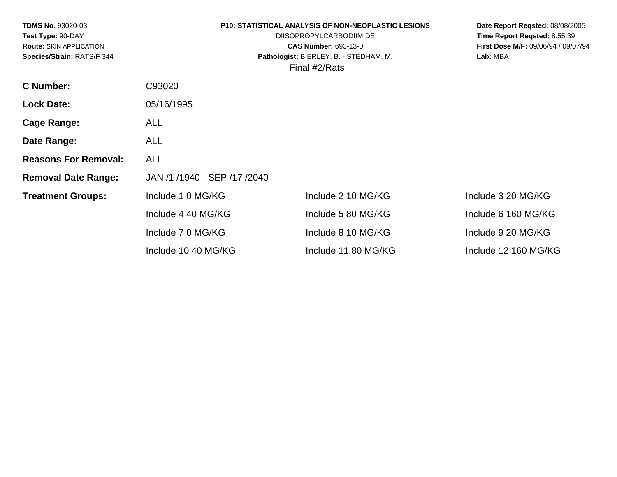| <b>TDMS No. 93020-03</b><br>Test Type: 90-DAY<br><b>Route: SKIN APPLICATION</b><br>Species/Strain: RATS/F 344 |                              | <b>P10: STATISTICAL ANALYSIS OF NON-NEOPLASTIC LESIONS</b><br><b>DIISOPROPYLCARBODIIMIDE</b><br><b>CAS Number: 693-13-0</b><br>Pathologist: BIERLEY, B. - STEDHAM, M.<br>Final #2/Rats | Date Report Regsted: 08/08/2005<br>Time Report Reqsted: 8:55:39<br>First Dose M/F: 09/06/94 / 09/07/94<br>Lab: MBA |
|---------------------------------------------------------------------------------------------------------------|------------------------------|----------------------------------------------------------------------------------------------------------------------------------------------------------------------------------------|--------------------------------------------------------------------------------------------------------------------|
| <b>C</b> Number:                                                                                              | C93020                       |                                                                                                                                                                                        |                                                                                                                    |
| <b>Lock Date:</b>                                                                                             | 05/16/1995                   |                                                                                                                                                                                        |                                                                                                                    |
| Cage Range:                                                                                                   | <b>ALL</b>                   |                                                                                                                                                                                        |                                                                                                                    |
| Date Range:                                                                                                   | <b>ALL</b>                   |                                                                                                                                                                                        |                                                                                                                    |
| <b>Reasons For Removal:</b>                                                                                   | <b>ALL</b>                   |                                                                                                                                                                                        |                                                                                                                    |
| <b>Removal Date Range:</b>                                                                                    | JAN /1 /1940 - SEP /17 /2040 |                                                                                                                                                                                        |                                                                                                                    |
| <b>Treatment Groups:</b>                                                                                      | Include 1 0 MG/KG            | Include 2 10 MG/KG                                                                                                                                                                     | Include 3 20 MG/KG                                                                                                 |
|                                                                                                               | Include 4 40 MG/KG           | Include 5 80 MG/KG                                                                                                                                                                     | Include 6 160 MG/KG                                                                                                |
|                                                                                                               | Include 7 0 MG/KG            | Include 8 10 MG/KG                                                                                                                                                                     | Include 9 20 MG/KG                                                                                                 |
|                                                                                                               | Include 10 40 MG/KG          | Include 11 80 MG/KG                                                                                                                                                                    | Include 12 160 MG/KG                                                                                               |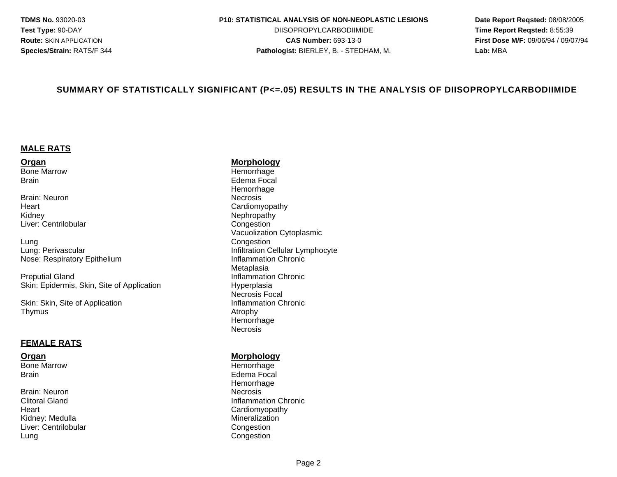#### **TDMS No.** 93020-03 **P10: STATISTICAL ANALYSIS OF NON-NEOPLASTIC LESIONS Date Report Reqsted:** 08/08/2005

**Test Type:** 90-DAY DIISOPROPYLCARBODIIMIDE **Time Report Reqsted:** 8:55:39 **Route:** SKIN APPLICATION **CAS Number:** 693-13-0 **First Dose M/F:** 09/06/94 / 09/07/94 **Species/Strain:** RATS/F 344 **Pathologist:** BIERLEY, B. - STEDHAM, M. **Lab:** MBA

### **SUMMARY OF STATISTICALLY SIGNIFICANT (P<=.05) RESULTS IN THE ANALYSIS OF DIISOPROPYLCARBODIIMIDE**

### **MALE RATS**

**Organ Morphology**<br> **Bone Marrow Morphology**<br> **Hemorrhage** Brain Edema Focal

Brain: Neuron Necrosis Heart **Cardiomyopathy** Kidney Nephropathy Liver: Centrilobular

Lung<br>
Lung: Perivascular<br>
Lung: Perivascular Nose: Respiratory Epithelium **Inflammation Chronic** 

**Preputial Gland Inflammation Chronic Chronic Chronic Chronic Chronic Chronic Chronic Chronic Chronic Chronic Chronic** Skin: Epidermis, Skin, Site of Application **Hyperplasia** 

Skin: Skin, Site of Application **Inflammation Chronic** Inflammation Chronic Thymus Atrophy

### **FEMALE RATS**

Bone Marrow **Hemorrhage** 

Brain: Neuron Necrosis Heart **Cardiomyopathy** Kidney: Medulla Mineralization<br>
Liver: Centrilobular Mineral Mineralization<br>
Congestion Liver: Centrilobular Lung Congestion

Hemorrhage Hemorrhage Vacuolization Cytoplasmic Infiltration Cellular Lymphocyte Metaplasia Necrosis Focal Hemorrhage **Necrosis** 

### **Organ** Morphology **Morphology**

Brain **Edema Focal** Hemorrhage Clitoral Gland **Inflammation Chronic** Clitoral Gland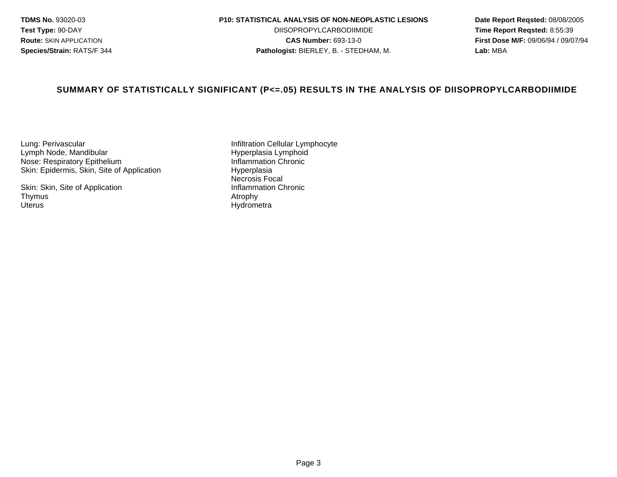### **TDMS No.** 93020-03 **P10: STATISTICAL ANALYSIS OF NON-NEOPLASTIC LESIONS Date Report Reqsted:** 08/08/2005

**Test Type:** 90-DAY DIISOPROPYLCARBODIIMIDE **Time Report Reqsted:** 8:55:39 **Route:** SKIN APPLICATION **CAS Number:** 693-13-0 **First Dose M/F:** 09/06/94 / 09/07/94 **Species/Strain:** RATS/F 344 **Pathologist:** BIERLEY, B. - STEDHAM, M. **Lab:** MBA

### **SUMMARY OF STATISTICALLY SIGNIFICANT (P<=.05) RESULTS IN THE ANALYSIS OF DIISOPROPYLCARBODIIMIDE**

Lung: Perivascular **Infiltration Cellular Lymphocyte**<br>
Infiltration Cellular Lymphocyte<br>
Infiltration Cellular Lymphoid Lymph Node, Mandibular Hyperplasia Lymphoid Nose: Respiratory Epithelium<br>
Skin: Epidermis, Skin, Site of Application<br>
Hyperplasia Skin: Epidermis, Skin, Site of Application

Skin: Skin, Site of Application<br>Thymus Thymus Atrophy

Necrosis Focal<br>Inflammation Chronic Hydrometra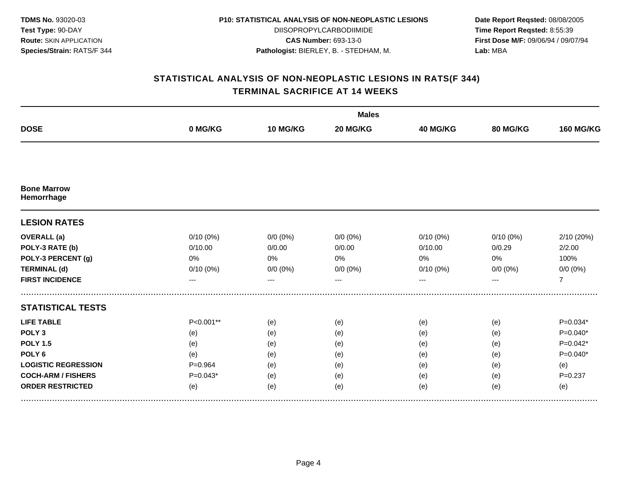| <b>TDMS No. 93020-03</b>       |
|--------------------------------|
| Test Type: 90-DAY              |
| <b>Route: SKIN APPLICATION</b> |
| Species/Strain: RATS/F 344     |

DIISOPROPYLCARBODIIMIDE **CAS Number:** 693-13-0 **Pathologist:** BIERLEY, B. - STEDHAM, M.

**Date Report Reqsted:** 08/08/2005 **Time Report Reqsted:** 8:55:39 **First Dose M/F:** 09/06/94 / 09/07/94 **Lab:** MBA

|                                  |             |             | <b>Males</b> |             |             |                  |
|----------------------------------|-------------|-------------|--------------|-------------|-------------|------------------|
| <b>DOSE</b>                      | 0 MG/KG     | 10 MG/KG    | 20 MG/KG     | 40 MG/KG    | 80 MG/KG    | <b>160 MG/KG</b> |
|                                  |             |             |              |             |             |                  |
| <b>Bone Marrow</b><br>Hemorrhage |             |             |              |             |             |                  |
| <b>LESION RATES</b>              |             |             |              |             |             |                  |
| <b>OVERALL</b> (a)               | $0/10(0\%)$ | $0/0 (0\%)$ | $0/0 (0\%)$  | $0/10(0\%)$ | $0/10(0\%)$ | 2/10 (20%)       |
| POLY-3 RATE (b)                  | 0/10.00     | 0/0.00      | 0/0.00       | 0/10.00     | 0/0.29      | 2/2.00           |
| POLY-3 PERCENT (g)               | 0%          | 0%          | 0%           | 0%          | 0%          | 100%             |
| <b>TERMINAL (d)</b>              | $0/10(0\%)$ | $0/0 (0\%)$ | $0/0 (0\%)$  | $0/10(0\%)$ | $0/0 (0\%)$ | $0/0 (0\%)$      |
| <b>FIRST INCIDENCE</b>           | ---         | ---         | $- - -$      | ---         | $---$       | $\overline{7}$   |
| <b>STATISTICAL TESTS</b>         |             |             |              |             |             |                  |
| <b>LIFE TABLE</b>                | P<0.001**   | (e)         | (e)          | (e)         | (e)         | $P=0.034*$       |
| POLY <sub>3</sub>                | (e)         | (e)         | (e)          | (e)         | (e)         | $P=0.040*$       |
| <b>POLY 1.5</b>                  | (e)         | (e)         | (e)          | (e)         | (e)         | $P=0.042*$       |
| POLY <sub>6</sub>                | (e)         | (e)         | (e)          | (e)         | (e)         | $P=0.040*$       |
| <b>LOGISTIC REGRESSION</b>       | $P = 0.964$ | (e)         | (e)          | (e)         | (e)         | (e)              |
| <b>COCH-ARM / FISHERS</b>        | $P=0.043*$  | (e)         | (e)          | (e)         | (e)         | $P = 0.237$      |
| <b>ORDER RESTRICTED</b>          | (e)         | (e)         | (e)          | (e)         | (e)         | (e)              |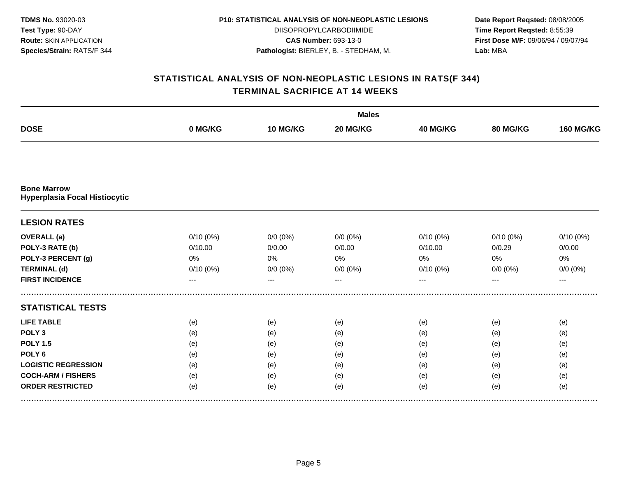| <b>TDMS No. 93020-03</b>       |
|--------------------------------|
| Test Type: 90-DAY              |
| <b>Route: SKIN APPLICATION</b> |
| Species/Strain: RATS/F 344     |

DIISOPROPYLCARBODIIMIDE **CAS Number:** 693-13-0 **Pathologist:** BIERLEY, B. - STEDHAM, M.

**Date Report Reqsted:** 08/08/2005 **Time Report Reqsted:** 8:55:39 **First Dose M/F:** 09/06/94 / 09/07/94 **Lab:** MBA

|                                                     |             | <b>Males</b> |             |             |             |                  |  |  |
|-----------------------------------------------------|-------------|--------------|-------------|-------------|-------------|------------------|--|--|
| <b>DOSE</b>                                         | 0 MG/KG     | 10 MG/KG     | 20 MG/KG    | 40 MG/KG    | 80 MG/KG    | <b>160 MG/KG</b> |  |  |
|                                                     |             |              |             |             |             |                  |  |  |
| <b>Bone Marrow</b><br>Hyperplasia Focal Histiocytic |             |              |             |             |             |                  |  |  |
| <b>LESION RATES</b>                                 |             |              |             |             |             |                  |  |  |
| <b>OVERALL</b> (a)                                  | $0/10(0\%)$ | $0/0 (0\%)$  | $0/0 (0\%)$ | 0/10(0%)    | $0/10(0\%)$ | 0/10(0%)         |  |  |
| POLY-3 RATE (b)                                     | 0/10.00     | 0/0.00       | 0/0.00      | 0/10.00     | 0/0.29      | 0/0.00           |  |  |
| POLY-3 PERCENT (g)                                  | 0%          | 0%           | 0%          | 0%          | 0%          | 0%               |  |  |
| <b>TERMINAL (d)</b>                                 | $0/10(0\%)$ | $0/0 (0\%)$  | $0/0 (0\%)$ | $0/10(0\%)$ | $0/0 (0\%)$ | $0/0 (0\%)$      |  |  |
| <b>FIRST INCIDENCE</b>                              | ---         | ---          |             | ---         | ---         | $---$            |  |  |
| <b>STATISTICAL TESTS</b>                            |             |              |             |             |             |                  |  |  |
| <b>LIFE TABLE</b>                                   | (e)         | (e)          | (e)         | (e)         | (e)         | (e)              |  |  |
| POLY <sub>3</sub>                                   | (e)         | (e)          | (e)         | (e)         | (e)         | (e)              |  |  |
| <b>POLY 1.5</b>                                     | (e)         | (e)          | (e)         | (e)         | (e)         | (e)              |  |  |
| POLY <sub>6</sub>                                   | (e)         | (e)          | (e)         | (e)         | (e)         | (e)              |  |  |
| <b>LOGISTIC REGRESSION</b>                          | (e)         | (e)          | (e)         | (e)         | (e)         | (e)              |  |  |
| <b>COCH-ARM / FISHERS</b>                           | (e)         | (e)          | (e)         | (e)         | (e)         | (e)              |  |  |
| <b>ORDER RESTRICTED</b>                             | (e)         | (e)          | (e)         | (e)         | (e)         | (e)              |  |  |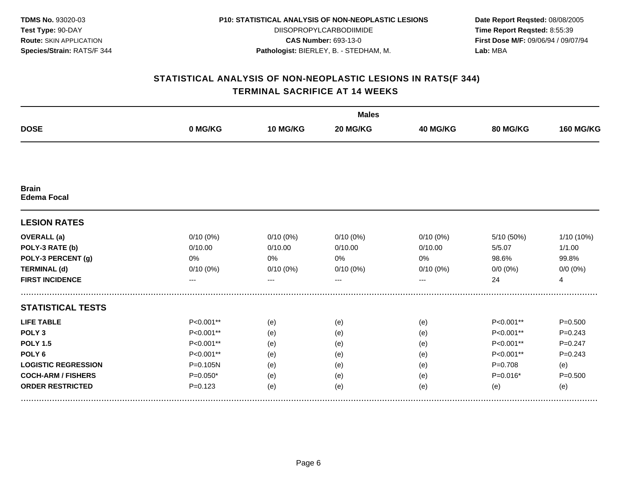| <b>TDMS No. 93020-03</b>       |
|--------------------------------|
| Test Type: 90-DAY              |
| <b>Route: SKIN APPLICATION</b> |
| Species/Strain: RATS/F 344     |

DIISOPROPYLCARBODIIMIDE **CAS Number:** 693-13-0 **Pathologist:** BIERLEY, B. - STEDHAM, M.

**Date Report Reqsted:** 08/08/2005 **Time Report Reqsted:** 8:55:39 **First Dose M/F:** 09/06/94 / 09/07/94 **Lab:** MBA

|                                    |              |             | <b>Males</b> |                 |                 |                  |  |  |  |
|------------------------------------|--------------|-------------|--------------|-----------------|-----------------|------------------|--|--|--|
| <b>DOSE</b>                        | 0 MG/KG      | 10 MG/KG    | 20 MG/KG     | <b>40 MG/KG</b> | <b>80 MG/KG</b> | <b>160 MG/KG</b> |  |  |  |
|                                    |              |             |              |                 |                 |                  |  |  |  |
| <b>Brain</b><br><b>Edema Focal</b> |              |             |              |                 |                 |                  |  |  |  |
| <b>LESION RATES</b>                |              |             |              |                 |                 |                  |  |  |  |
| <b>OVERALL</b> (a)                 | $0/10(0\%)$  | $0/10(0\%)$ | $0/10(0\%)$  | $0/10(0\%)$     | 5/10 (50%)      | 1/10 (10%)       |  |  |  |
| POLY-3 RATE (b)                    | 0/10.00      | 0/10.00     | 0/10.00      | 0/10.00         | 5/5.07          | 1/1.00           |  |  |  |
| POLY-3 PERCENT (g)                 | 0%           | 0%          | 0%           | 0%              | 98.6%           | 99.8%            |  |  |  |
| <b>TERMINAL (d)</b>                | 0/10(0%)     | 0/10(0%)    | 0/10(0%)     | $0/10(0\%)$     | $0/0 (0\%)$     | $0/0 (0\%)$      |  |  |  |
| <b>FIRST INCIDENCE</b>             | ---          | ---         | $---$        | ---             | 24              | $\overline{4}$   |  |  |  |
| <b>STATISTICAL TESTS</b>           |              |             |              |                 |                 |                  |  |  |  |
| <b>LIFE TABLE</b>                  | $P<0.001**$  | (e)         | (e)          | (e)             | P<0.001**       | $P = 0.500$      |  |  |  |
| POLY <sub>3</sub>                  | P<0.001**    | (e)         | (e)          | (e)             | P<0.001**       | $P = 0.243$      |  |  |  |
| <b>POLY 1.5</b>                    | P<0.001**    | (e)         | (e)          | (e)             | P<0.001**       | $P = 0.247$      |  |  |  |
| POLY <sub>6</sub>                  | P<0.001**    | (e)         | (e)          | (e)             | P<0.001**       | $P = 0.243$      |  |  |  |
| <b>LOGISTIC REGRESSION</b>         | $P = 0.105N$ | (e)         | (e)          | (e)             | $P = 0.708$     | (e)              |  |  |  |
| <b>COCH-ARM / FISHERS</b>          | $P=0.050*$   | (e)         | (e)          | (e)             | $P=0.016*$      | $P = 0.500$      |  |  |  |
| <b>ORDER RESTRICTED</b>            | $P = 0.123$  | (e)         | (e)          | (e)             | (e)             | (e)              |  |  |  |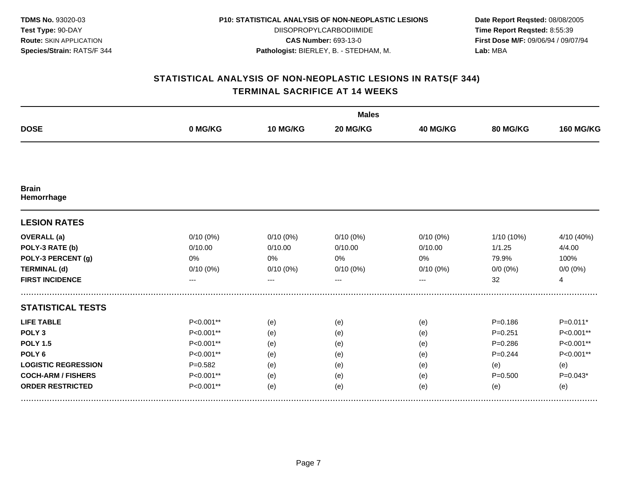| <b>TDMS No. 93020-03</b>       |
|--------------------------------|
| Test Type: 90-DAY              |
| <b>Route: SKIN APPLICATION</b> |
| Species/Strain: RATS/F 344     |

DIISOPROPYLCARBODIIMIDE **CAS Number:** 693-13-0 **Pathologist:** BIERLEY, B. - STEDHAM, M.

**Date Report Reqsted:** 08/08/2005 **Time Report Reqsted:** 8:55:39 **First Dose M/F:** 09/06/94 / 09/07/94 **Lab:** MBA

|                            |             |             | <b>Males</b> |                 |                 |                  |  |  |  |
|----------------------------|-------------|-------------|--------------|-----------------|-----------------|------------------|--|--|--|
| <b>DOSE</b>                | 0 MG/KG     | 10 MG/KG    | 20 MG/KG     | <b>40 MG/KG</b> | <b>80 MG/KG</b> | <b>160 MG/KG</b> |  |  |  |
|                            |             |             |              |                 |                 |                  |  |  |  |
| <b>Brain</b><br>Hemorrhage |             |             |              |                 |                 |                  |  |  |  |
| <b>LESION RATES</b>        |             |             |              |                 |                 |                  |  |  |  |
| <b>OVERALL</b> (a)         | $0/10(0\%)$ | $0/10(0\%)$ | $0/10(0\%)$  | $0/10(0\%)$     | $1/10(10\%)$    | 4/10 (40%)       |  |  |  |
| POLY-3 RATE (b)            | 0/10.00     | 0/10.00     | 0/10.00      | 0/10.00         | 1/1.25          | 4/4.00           |  |  |  |
| POLY-3 PERCENT (g)         | 0%          | 0%          | 0%           | 0%              | 79.9%           | 100%             |  |  |  |
| <b>TERMINAL (d)</b>        | 0/10(0%)    | 0/10(0%)    | 0/10(0%)     | $0/10(0\%)$     | $0/0 (0\%)$     | $0/0 (0\%)$      |  |  |  |
| <b>FIRST INCIDENCE</b>     | ---         | ---         | $---$        | ---             | 32              | $\overline{4}$   |  |  |  |
| <b>STATISTICAL TESTS</b>   |             |             |              |                 |                 |                  |  |  |  |
| <b>LIFE TABLE</b>          | $P<0.001**$ | (e)         | (e)          | (e)             | $P = 0.186$     | $P=0.011*$       |  |  |  |
| POLY <sub>3</sub>          | P<0.001**   | (e)         | (e)          | (e)             | $P = 0.251$     | P<0.001**        |  |  |  |
| <b>POLY 1.5</b>            | P<0.001**   | (e)         | (e)          | (e)             | $P = 0.286$     | P<0.001**        |  |  |  |
| POLY <sub>6</sub>          | P<0.001**   | (e)         | (e)          | (e)             | $P=0.244$       | P<0.001**        |  |  |  |
| <b>LOGISTIC REGRESSION</b> | $P = 0.582$ | (e)         | (e)          | (e)             | (e)             | (e)              |  |  |  |
| <b>COCH-ARM / FISHERS</b>  | P<0.001**   | (e)         | (e)          | (e)             | $P = 0.500$     | $P=0.043*$       |  |  |  |
| <b>ORDER RESTRICTED</b>    | P<0.001**   | (e)         | (e)          | (e)             | (e)             | (e)              |  |  |  |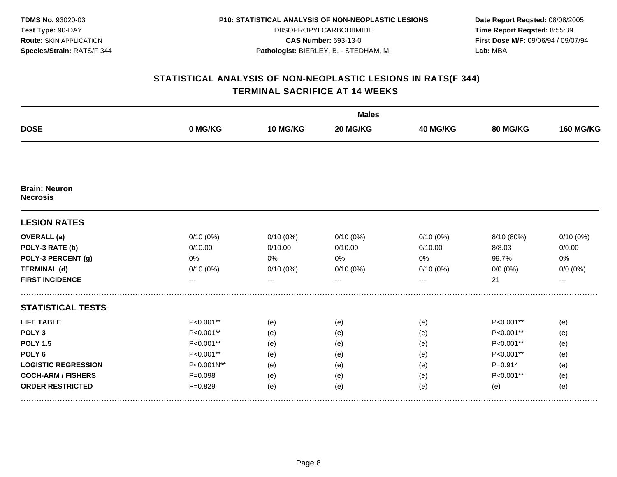| <b>TDMS No. 93020-03</b>       |
|--------------------------------|
| Test Type: 90-DAY              |
| <b>Route: SKIN APPLICATION</b> |
| Species/Strain: RATS/F 344     |

DIISOPROPYLCARBODIIMIDE **CAS Number:** 693-13-0 **Pathologist:** BIERLEY, B. - STEDHAM, M.

**Date Report Reqsted:** 08/08/2005 **Time Report Reqsted:** 8:55:39 **First Dose M/F:** 09/06/94 / 09/07/94 **Lab:** MBA

|                                         |             |             | <b>Males</b> |                 |             |                  |
|-----------------------------------------|-------------|-------------|--------------|-----------------|-------------|------------------|
| <b>DOSE</b>                             | 0 MG/KG     | 10 MG/KG    | 20 MG/KG     | <b>40 MG/KG</b> | 80 MG/KG    | <b>160 MG/KG</b> |
|                                         |             |             |              |                 |             |                  |
| <b>Brain: Neuron</b><br><b>Necrosis</b> |             |             |              |                 |             |                  |
| <b>LESION RATES</b>                     |             |             |              |                 |             |                  |
| <b>OVERALL</b> (a)                      | $0/10(0\%)$ | $0/10(0\%)$ | 0/10(0%)     | $0/10(0\%)$     | 8/10 (80%)  | $0/10(0\%)$      |
| POLY-3 RATE (b)                         | 0/10.00     | 0/10.00     | 0/10.00      | 0/10.00         | 8/8.03      | 0/0.00           |
| POLY-3 PERCENT (g)                      | 0%          | 0%          | 0%           | 0%              | 99.7%       | $0\%$            |
| <b>TERMINAL (d)</b>                     | $0/10(0\%)$ | 0/10(0%)    | 0/10(0%)     | 0/10(0%)        | $0/0 (0\%)$ | $0/0 (0\%)$      |
| <b>FIRST INCIDENCE</b>                  | ---         | ---         |              | ---             | 21          | $---$            |
| <b>STATISTICAL TESTS</b>                |             |             |              |                 |             |                  |
| <b>LIFE TABLE</b>                       | $P<0.001**$ | (e)         | (e)          | (e)             | P<0.001**   | (e)              |
| POLY <sub>3</sub>                       | P<0.001**   | (e)         | (e)          | (e)             | P<0.001**   | (e)              |
| <b>POLY 1.5</b>                         | P<0.001**   | (e)         | (e)          | (e)             | P<0.001**   | (e)              |
| POLY <sub>6</sub>                       | P<0.001**   | (e)         | (e)          | (e)             | P<0.001**   | (e)              |
| <b>LOGISTIC REGRESSION</b>              | P<0.001N**  | (e)         | (e)          | (e)             | $P = 0.914$ | (e)              |
| <b>COCH-ARM / FISHERS</b>               | $P = 0.098$ | (e)         | (e)          | (e)             | P<0.001**   | (e)              |
| <b>ORDER RESTRICTED</b>                 | $P = 0.829$ | (e)         | (e)          | (e)             | (e)         | (e)              |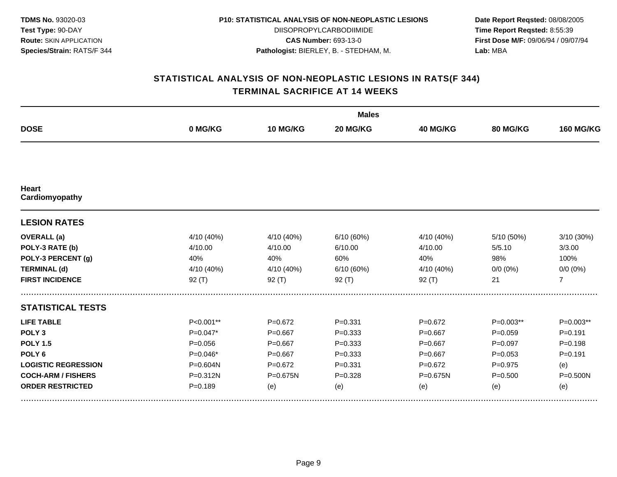| <b>TDMS No. 93020-03</b>       |
|--------------------------------|
| Test Type: 90-DAY              |
| <b>Route: SKIN APPLICATION</b> |
| Species/Strain: RATS/F 344     |

DIISOPROPYLCARBODIIMIDE **CAS Number:** 693-13-0 **Pathologist:** BIERLEY, B. - STEDHAM, M.

**Date Report Reqsted:** 08/08/2005 **Time Report Reqsted:** 8:55:39 **First Dose M/F:** 09/06/94 / 09/07/94 **Lab:** MBA

|                                |              |             | <b>Males</b> |                 |                 |                  |  |  |  |
|--------------------------------|--------------|-------------|--------------|-----------------|-----------------|------------------|--|--|--|
| <b>DOSE</b>                    | 0 MG/KG      | 10 MG/KG    | 20 MG/KG     | <b>40 MG/KG</b> | <b>80 MG/KG</b> | <b>160 MG/KG</b> |  |  |  |
|                                |              |             |              |                 |                 |                  |  |  |  |
| <b>Heart</b><br>Cardiomyopathy |              |             |              |                 |                 |                  |  |  |  |
| <b>LESION RATES</b>            |              |             |              |                 |                 |                  |  |  |  |
| <b>OVERALL</b> (a)             | 4/10 (40%)   | 4/10 (40%)  | 6/10 (60%)   | 4/10 (40%)      | 5/10 (50%)      | 3/10 (30%)       |  |  |  |
| POLY-3 RATE (b)                | 4/10.00      | 4/10.00     | 6/10.00      | 4/10.00         | 5/5.10          | 3/3.00           |  |  |  |
| POLY-3 PERCENT (g)             | 40%          | 40%         | 60%          | 40%             | 98%             | 100%             |  |  |  |
| <b>TERMINAL (d)</b>            | 4/10 (40%)   | 4/10 (40%)  | 6/10 (60%)   | 4/10 (40%)      | $0/0 (0\%)$     | $0/0 (0\%)$      |  |  |  |
| <b>FIRST INCIDENCE</b>         | 92(T)        | 92 $(T)$    | $92($ T)     | 92(T)           | 21              | $\overline{7}$   |  |  |  |
| <b>STATISTICAL TESTS</b>       |              |             |              |                 |                 |                  |  |  |  |
| <b>LIFE TABLE</b>              | $P<0.001**$  | $P=0.672$   | $P = 0.331$  | $P=0.672$       | $P=0.003**$     | P=0.003**        |  |  |  |
| POLY <sub>3</sub>              | $P=0.047*$   | $P = 0.667$ | $P = 0.333$  | $P = 0.667$     | $P = 0.059$     | $P = 0.191$      |  |  |  |
| <b>POLY 1.5</b>                | $P = 0.056$  | $P=0.667$   | $P = 0.333$  | $P = 0.667$     | $P=0.097$       | $P = 0.198$      |  |  |  |
| POLY <sub>6</sub>              | $P=0.046*$   | $P = 0.667$ | $P = 0.333$  | $P = 0.667$     | $P = 0.053$     | $P = 0.191$      |  |  |  |
| <b>LOGISTIC REGRESSION</b>     | P=0.604N     | $P=0.672$   | $P = 0.331$  | $P=0.672$       | $P=0.975$       | (e)              |  |  |  |
| <b>COCH-ARM / FISHERS</b>      | $P = 0.312N$ | P=0.675N    | $P = 0.328$  | P=0.675N        | $P = 0.500$     | $P = 0.500N$     |  |  |  |
| <b>ORDER RESTRICTED</b>        | $P = 0.189$  | (e)         | (e)          | (e)             | (e)             | (e)              |  |  |  |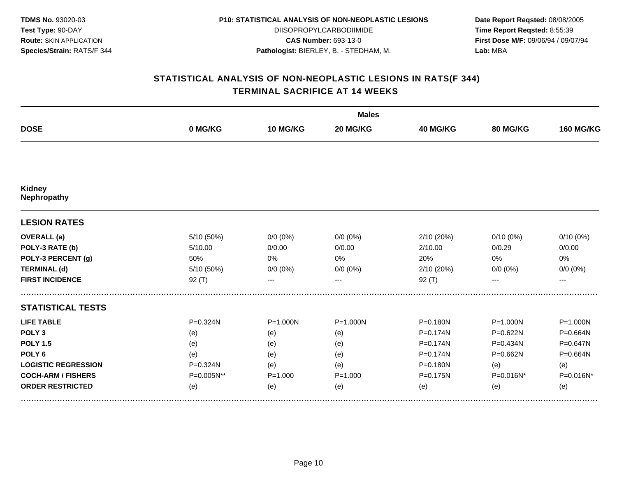| <b>TDMS No. 93020-03</b>       |
|--------------------------------|
| <b>Test Type: 90-DAY</b>       |
| <b>Route: SKIN APPLICATION</b> |
| Species/Strain: RATS/F 344     |

DIISOPROPYLCARBODIIMIDE **CAS Number:** 693-13-0 **Pathologist:** BIERLEY, B. - STEDHAM, M.

**Date Report Reqsted:** 08/08/2005 **Time Report Reqsted:** 8:55:39 **First Dose M/F:** 09/06/94 / 09/07/94 **Lab:** MBA

|                              |              |              | <b>Males</b> |                 |              |                  |  |  |
|------------------------------|--------------|--------------|--------------|-----------------|--------------|------------------|--|--|
| <b>DOSE</b>                  | 0 MG/KG      | 10 MG/KG     | 20 MG/KG     | <b>40 MG/KG</b> | 80 MG/KG     | <b>160 MG/KG</b> |  |  |
|                              |              |              |              |                 |              |                  |  |  |
| <b>Kidney</b><br>Nephropathy |              |              |              |                 |              |                  |  |  |
| <b>LESION RATES</b>          |              |              |              |                 |              |                  |  |  |
| <b>OVERALL</b> (a)           | 5/10 (50%)   | $0/0 (0\%)$  | $0/0 (0\%)$  | 2/10 (20%)      | $0/10(0\%)$  | $0/10(0\%)$      |  |  |
| POLY-3 RATE (b)              | 5/10.00      | 0/0.00       | 0/0.00       | 2/10.00         | 0/0.29       | 0/0.00           |  |  |
| POLY-3 PERCENT (g)           | 50%          | 0%           | 0%           | 20%             | 0%           | 0%               |  |  |
| <b>TERMINAL (d)</b>          | 5/10 (50%)   | $0/0 (0\%)$  | $0/0 (0\%)$  | 2/10 (20%)      | $0/0 (0\%)$  | $0/0 (0\%)$      |  |  |
| <b>FIRST INCIDENCE</b>       | 92(T)        | ---          |              | $92($ T)        |              | ---              |  |  |
| <b>STATISTICAL TESTS</b>     |              |              |              |                 |              |                  |  |  |
| <b>LIFE TABLE</b>            | $P = 0.324N$ | $P = 1.000N$ | $P = 1.000N$ | P=0.180N        | $P = 1.000N$ | $P = 1.000N$     |  |  |
| POLY <sub>3</sub>            | (e)          | (e)          | (e)          | $P = 0.174N$    | P=0.622N     | P=0.664N         |  |  |
| <b>POLY 1.5</b>              | (e)          | (e)          | (e)          | P=0.174N        | P=0.434N     | P=0.647N         |  |  |
| POLY <sub>6</sub>            | (e)          | (e)          | (e)          | P=0.174N        | P=0.662N     | P=0.664N         |  |  |
| <b>LOGISTIC REGRESSION</b>   | $P = 0.324N$ | (e)          | (e)          | P=0.180N        | (e)          | (e)              |  |  |
| <b>COCH-ARM / FISHERS</b>    | P=0.005N**   | $P = 1.000$  | $P = 1.000$  | P=0.175N        | P=0.016N*    | P=0.016N*        |  |  |
| <b>ORDER RESTRICTED</b>      | (e)          | (e)          | (e)          | (e)             | (e)          | (e)              |  |  |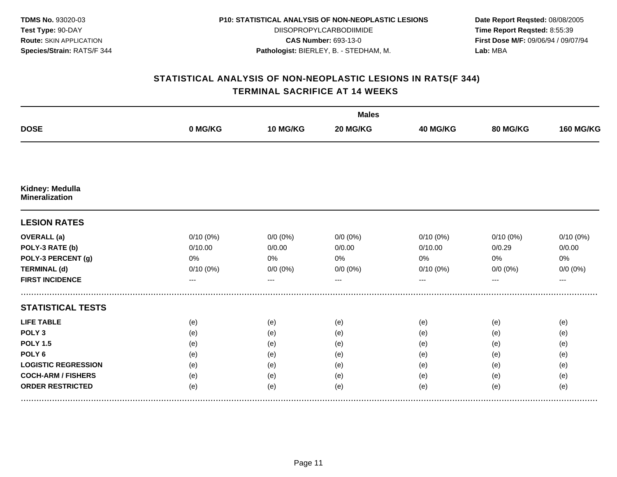| <b>TDMS No. 93020-03</b>       |
|--------------------------------|
| Test Type: 90-DAY              |
| <b>Route: SKIN APPLICATION</b> |
| Species/Strain: RATS/F 344     |

DIISOPROPYLCARBODIIMIDE **CAS Number:** 693-13-0 **Pathologist:** BIERLEY, B. - STEDHAM, M.

**Date Report Reqsted:** 08/08/2005 **Time Report Reqsted:** 8:55:39 **First Dose M/F:** 09/06/94 / 09/07/94 **Lab:** MBA

|                                          |             |             | <b>Males</b> |             |             |                  |  |  |  |
|------------------------------------------|-------------|-------------|--------------|-------------|-------------|------------------|--|--|--|
| <b>DOSE</b>                              | 0 MG/KG     | 10 MG/KG    | 20 MG/KG     | 40 MG/KG    | 80 MG/KG    | <b>160 MG/KG</b> |  |  |  |
|                                          |             |             |              |             |             |                  |  |  |  |
| Kidney: Medulla<br><b>Mineralization</b> |             |             |              |             |             |                  |  |  |  |
| <b>LESION RATES</b>                      |             |             |              |             |             |                  |  |  |  |
| <b>OVERALL</b> (a)                       | $0/10(0\%)$ | $0/0 (0\%)$ | $0/0 (0\%)$  | $0/10(0\%)$ | $0/10(0\%)$ | 0/10(0%)         |  |  |  |
| POLY-3 RATE (b)                          | 0/10.00     | 0/0.00      | 0/0.00       | 0/10.00     | 0/0.29      | 0/0.00           |  |  |  |
| POLY-3 PERCENT (g)                       | 0%          | 0%          | 0%           | $0\%$       | 0%          | $0\%$            |  |  |  |
| <b>TERMINAL (d)</b>                      | 0/10(0%)    | $0/0 (0\%)$ | $0/0 (0\%)$  | 0/10(0%)    | $0/0 (0\%)$ | $0/0 (0\%)$      |  |  |  |
| <b>FIRST INCIDENCE</b>                   | ---         | ---         |              | ---         | ---         | $---$            |  |  |  |
| <b>STATISTICAL TESTS</b>                 |             |             |              |             |             |                  |  |  |  |
| <b>LIFE TABLE</b>                        | (e)         | (e)         | (e)          | (e)         | (e)         | (e)              |  |  |  |
| POLY <sub>3</sub>                        | (e)         | (e)         | (e)          | (e)         | (e)         | (e)              |  |  |  |
| <b>POLY 1.5</b>                          | (e)         | (e)         | (e)          | (e)         | (e)         | (e)              |  |  |  |
| POLY <sub>6</sub>                        | (e)         | (e)         | (e)          | (e)         | (e)         | (e)              |  |  |  |
| <b>LOGISTIC REGRESSION</b>               | (e)         | (e)         | (e)          | (e)         | (e)         | (e)              |  |  |  |
| <b>COCH-ARM / FISHERS</b>                | (e)         | (e)         | (e)          | (e)         | (e)         | (e)              |  |  |  |
| <b>ORDER RESTRICTED</b>                  | (e)         | (e)         | (e)          | (e)         | (e)         | (e)              |  |  |  |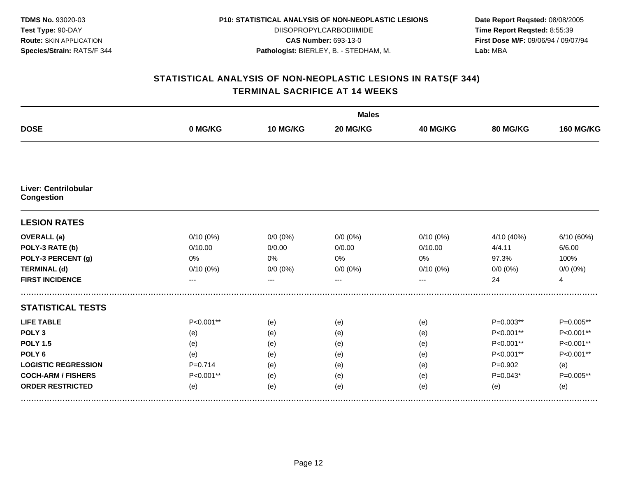| <b>TDMS No. 93020-03</b>       |
|--------------------------------|
| Test Type: 90-DAY              |
| <b>Route: SKIN APPLICATION</b> |
| Species/Strain: RATS/F 344     |

DIISOPROPYLCARBODIIMIDE **CAS Number:** 693-13-0 **Pathologist:** BIERLEY, B. - STEDHAM, M.

**Date Report Reqsted:** 08/08/2005 **Time Report Reqsted:** 8:55:39 **First Dose M/F:** 09/06/94 / 09/07/94 **Lab:** MBA

|                                                  |             |             | <b>Males</b> |             |             |                  |  |  |  |
|--------------------------------------------------|-------------|-------------|--------------|-------------|-------------|------------------|--|--|--|
| <b>DOSE</b>                                      | 0 MG/KG     | 10 MG/KG    | 20 MG/KG     | 40 MG/KG    | 80 MG/KG    | <b>160 MG/KG</b> |  |  |  |
|                                                  |             |             |              |             |             |                  |  |  |  |
| <b>Liver: Centrilobular</b><br><b>Congestion</b> |             |             |              |             |             |                  |  |  |  |
| <b>LESION RATES</b>                              |             |             |              |             |             |                  |  |  |  |
| <b>OVERALL</b> (a)                               | $0/10(0\%)$ | $0/0 (0\%)$ | $0/0 (0\%)$  | $0/10(0\%)$ | 4/10 (40%)  | 6/10 (60%)       |  |  |  |
| POLY-3 RATE (b)                                  | 0/10.00     | 0/0.00      | 0/0.00       | 0/10.00     | 4/4.11      | 6/6.00           |  |  |  |
| POLY-3 PERCENT (g)                               | 0%          | 0%          | 0%           | $0\%$       | 97.3%       | 100%             |  |  |  |
| <b>TERMINAL (d)</b>                              | 0/10(0%)    | $0/0 (0\%)$ | $0/0 (0\%)$  | 0/10(0%)    | $0/0 (0\%)$ | $0/0 (0\%)$      |  |  |  |
| <b>FIRST INCIDENCE</b>                           | ---         | ---         | $- - -$      | $---$       | 24          | $\overline{4}$   |  |  |  |
| <b>STATISTICAL TESTS</b>                         |             |             |              |             |             |                  |  |  |  |
| <b>LIFE TABLE</b>                                | P<0.001**   | (e)         | (e)          | (e)         | P=0.003**   | P=0.005**        |  |  |  |
| POLY <sub>3</sub>                                | (e)         | (e)         | (e)          | (e)         | P<0.001**   | P<0.001**        |  |  |  |
| <b>POLY 1.5</b>                                  | (e)         | (e)         | (e)          | (e)         | P<0.001**   | P<0.001**        |  |  |  |
| POLY <sub>6</sub>                                | (e)         | (e)         | (e)          | (e)         | P<0.001**   | P<0.001**        |  |  |  |
| <b>LOGISTIC REGRESSION</b>                       | $P = 0.714$ | (e)         | (e)          | (e)         | $P=0.902$   | (e)              |  |  |  |
| <b>COCH-ARM / FISHERS</b>                        | P<0.001**   | (e)         | (e)          | (e)         | $P=0.043*$  | P=0.005**        |  |  |  |
| <b>ORDER RESTRICTED</b>                          | (e)         | (e)         | (e)          | (e)         | (e)         | (e)              |  |  |  |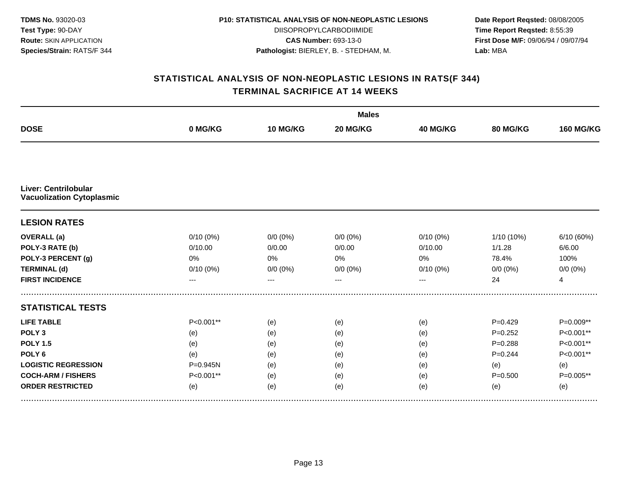| <b>TDMS No. 93020-03</b>       |
|--------------------------------|
| Test Type: 90-DAY              |
| <b>Route: SKIN APPLICATION</b> |
| Species/Strain: RATS/F 344     |

DIISOPROPYLCARBODIIMIDE **CAS Number:** 693-13-0 **Pathologist:** BIERLEY, B. - STEDHAM, M.

**Date Report Reqsted:** 08/08/2005 **Time Report Reqsted:** 8:55:39 **First Dose M/F:** 09/06/94 / 09/07/94 **Lab:** MBA

|                                                                 |              |             | <b>Males</b> |             |             |                  |  |  |
|-----------------------------------------------------------------|--------------|-------------|--------------|-------------|-------------|------------------|--|--|
| <b>DOSE</b>                                                     | 0 MG/KG      | 10 MG/KG    | 20 MG/KG     | 40 MG/KG    | 80 MG/KG    | <b>160 MG/KG</b> |  |  |
|                                                                 |              |             |              |             |             |                  |  |  |
| <b>Liver: Centrilobular</b><br><b>Vacuolization Cytoplasmic</b> |              |             |              |             |             |                  |  |  |
| <b>LESION RATES</b>                                             |              |             |              |             |             |                  |  |  |
| <b>OVERALL</b> (a)                                              | $0/10(0\%)$  | $0/0 (0\%)$ | $0/0 (0\%)$  | 0/10(0%)    | 1/10 (10%)  | 6/10 (60%)       |  |  |
| POLY-3 RATE (b)                                                 | 0/10.00      | 0/0.00      | 0/0.00       | 0/10.00     | 1/1.28      | 6/6.00           |  |  |
| POLY-3 PERCENT (g)                                              | 0%           | 0%          | 0%           | 0%          | 78.4%       | 100%             |  |  |
| <b>TERMINAL (d)</b>                                             | $0/10(0\%)$  | $0/0 (0\%)$ | $0/0 (0\%)$  | $0/10(0\%)$ | $0/0 (0\%)$ | $0/0 (0\%)$      |  |  |
| <b>FIRST INCIDENCE</b>                                          | ---          | ---         |              | ---         | 24          | $\overline{4}$   |  |  |
| <b>STATISTICAL TESTS</b>                                        |              |             |              |             |             |                  |  |  |
| <b>LIFE TABLE</b>                                               | P<0.001**    | (e)         | (e)          | (e)         | $P=0.429$   | P=0.009**        |  |  |
| POLY <sub>3</sub>                                               | (e)          | (e)         | (e)          | (e)         | $P=0.252$   | P<0.001**        |  |  |
| <b>POLY 1.5</b>                                                 | (e)          | (e)         | (e)          | (e)         | $P = 0.288$ | P<0.001**        |  |  |
| POLY <sub>6</sub>                                               | (e)          | (e)         | (e)          | (e)         | $P=0.244$   | P<0.001**        |  |  |
| <b>LOGISTIC REGRESSION</b>                                      | $P = 0.945N$ | (e)         | (e)          | (e)         | (e)         | (e)              |  |  |
| <b>COCH-ARM / FISHERS</b>                                       | P<0.001**    | (e)         | (e)          | (e)         | $P = 0.500$ | P=0.005**        |  |  |
| <b>ORDER RESTRICTED</b>                                         | (e)          | (e)         | (e)          | (e)         | (e)         | (e)              |  |  |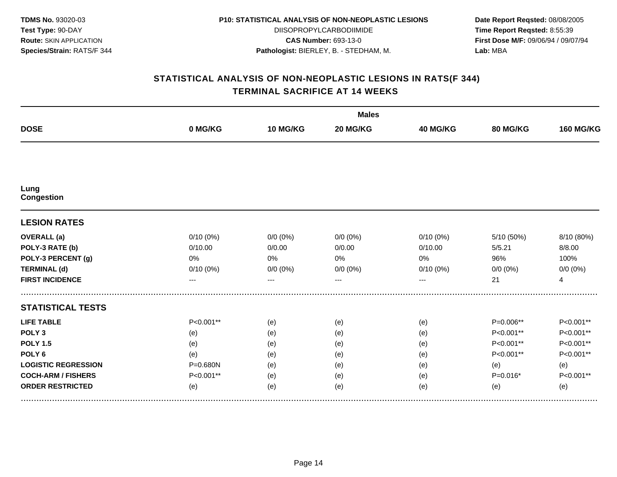| <b>TDMS No. 93020-03</b>       |
|--------------------------------|
| Test Type: 90-DAY              |
| <b>Route: SKIN APPLICATION</b> |
| Species/Strain: RATS/F 344     |

DIISOPROPYLCARBODIIMIDE **CAS Number:** 693-13-0 **Pathologist:** BIERLEY, B. - STEDHAM, M.

**Date Report Reqsted:** 08/08/2005 **Time Report Reqsted:** 8:55:39 **First Dose M/F:** 09/06/94 / 09/07/94 **Lab:** MBA

|                            |             |             | <b>Males</b> |                 |             |                  |  |  |  |
|----------------------------|-------------|-------------|--------------|-----------------|-------------|------------------|--|--|--|
| <b>DOSE</b>                | 0 MG/KG     | 10 MG/KG    | 20 MG/KG     | <b>40 MG/KG</b> | 80 MG/KG    | <b>160 MG/KG</b> |  |  |  |
|                            |             |             |              |                 |             |                  |  |  |  |
| Lung<br><b>Congestion</b>  |             |             |              |                 |             |                  |  |  |  |
| <b>LESION RATES</b>        |             |             |              |                 |             |                  |  |  |  |
| <b>OVERALL</b> (a)         | $0/10(0\%)$ | $0/0 (0\%)$ | $0/0(0\%)$   | $0/10(0\%)$     | 5/10 (50%)  | 8/10 (80%)       |  |  |  |
| POLY-3 RATE (b)            | 0/10.00     | 0/0.00      | 0/0.00       | 0/10.00         | 5/5.21      | 8/8.00           |  |  |  |
| POLY-3 PERCENT (g)         | 0%          | 0%          | 0%           | $0\%$           | 96%         | 100%             |  |  |  |
| <b>TERMINAL (d)</b>        | 0/10(0%)    | $0/0 (0\%)$ | $0/0 (0\%)$  | 0/10(0%)        | $0/0 (0\%)$ | $0/0 (0\%)$      |  |  |  |
| <b>FIRST INCIDENCE</b>     | ---         | ---         | $---$        | ---             | 21          | $\overline{4}$   |  |  |  |
| <b>STATISTICAL TESTS</b>   |             |             |              |                 |             |                  |  |  |  |
| <b>LIFE TABLE</b>          | P<0.001**   | (e)         | (e)          | (e)             | P=0.006**   | P<0.001**        |  |  |  |
| POLY <sub>3</sub>          | (e)         | (e)         | (e)          | (e)             | P<0.001**   | P<0.001**        |  |  |  |
| <b>POLY 1.5</b>            | (e)         | (e)         | (e)          | (e)             | P<0.001**   | P<0.001**        |  |  |  |
| POLY <sub>6</sub>          | (e)         | (e)         | (e)          | (e)             | P<0.001**   | P<0.001**        |  |  |  |
| <b>LOGISTIC REGRESSION</b> | P=0.680N    | (e)         | (e)          | (e)             | (e)         | (e)              |  |  |  |
| <b>COCH-ARM / FISHERS</b>  | P<0.001**   | (e)         | (e)          | (e)             | $P=0.016*$  | P<0.001**        |  |  |  |
| <b>ORDER RESTRICTED</b>    | (e)         | (e)         | (e)          | (e)             | (e)         | (e)              |  |  |  |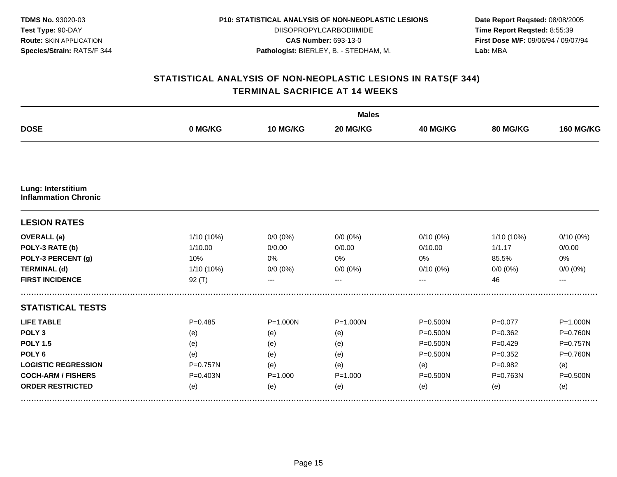| <b>TDMS No. 93020-03</b>       |
|--------------------------------|
| <b>Test Type: 90-DAY</b>       |
| <b>Route: SKIN APPLICATION</b> |
| Species/Strain: RATS/F 344     |

DIISOPROPYLCARBODIIMIDE **CAS Number:** 693-13-0 **Pathologist:** BIERLEY, B. - STEDHAM, M.

**Date Report Reqsted:** 08/08/2005 **Time Report Reqsted:** 8:55:39 **First Dose M/F:** 09/06/94 / 09/07/94 **Lab:** MBA

|                                                   |              |              | <b>Males</b> |                 |             |                  |  |  |
|---------------------------------------------------|--------------|--------------|--------------|-----------------|-------------|------------------|--|--|
| <b>DOSE</b>                                       | 0 MG/KG      | 10 MG/KG     | 20 MG/KG     | <b>40 MG/KG</b> | 80 MG/KG    | <b>160 MG/KG</b> |  |  |
|                                                   |              |              |              |                 |             |                  |  |  |
| Lung: Interstitium<br><b>Inflammation Chronic</b> |              |              |              |                 |             |                  |  |  |
| <b>LESION RATES</b>                               |              |              |              |                 |             |                  |  |  |
| <b>OVERALL</b> (a)                                | 1/10 (10%)   | $0/0 (0\%)$  | $0/0 (0\%)$  | $0/10(0\%)$     | 1/10 (10%)  | $0/10(0\%)$      |  |  |
| POLY-3 RATE (b)                                   | 1/10.00      | 0/0.00       | 0/0.00       | 0/10.00         | 1/1.17      | 0/0.00           |  |  |
| POLY-3 PERCENT (g)                                | 10%          | 0%           | 0%           | 0%              | 85.5%       | 0%               |  |  |
| <b>TERMINAL (d)</b>                               | 1/10 (10%)   | $0/0 (0\%)$  | $0/0 (0\%)$  | $0/10(0\%)$     | $0/0 (0\%)$ | $0/0 (0\%)$      |  |  |
| <b>FIRST INCIDENCE</b>                            | 92(T)        | ---          |              | ---             | 46          | ---              |  |  |
| <b>STATISTICAL TESTS</b>                          |              |              |              |                 |             |                  |  |  |
| <b>LIFE TABLE</b>                                 | $P = 0.485$  | $P = 1.000N$ | $P = 1.000N$ | P=0.500N        | $P=0.077$   | $P = 1.000N$     |  |  |
| POLY <sub>3</sub>                                 | (e)          | (e)          | (e)          | $P = 0.500N$    | $P = 0.362$ | P=0.760N         |  |  |
| <b>POLY 1.5</b>                                   | (e)          | (e)          | (e)          | P=0.500N        | $P=0.429$   | P=0.757N         |  |  |
| POLY <sub>6</sub>                                 | (e)          | (e)          | (e)          | P=0.500N        | $P=0.352$   | P=0.760N         |  |  |
| <b>LOGISTIC REGRESSION</b>                        | $P = 0.757N$ | (e)          | (e)          | (e)             | $P=0.982$   | (e)              |  |  |
| <b>COCH-ARM / FISHERS</b>                         | P=0.403N     | $P = 1.000$  | $P = 1.000$  | P=0.500N        | P=0.763N    | $P = 0.500N$     |  |  |
| <b>ORDER RESTRICTED</b>                           | (e)          | (e)          | (e)          | (e)             | (e)         | (e)              |  |  |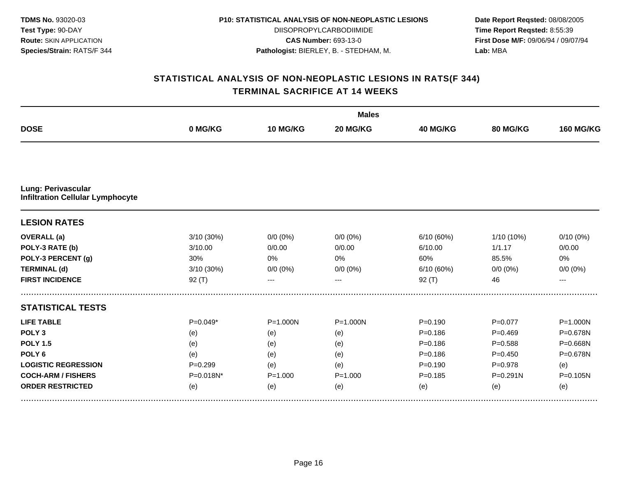| <b>TDMS No. 93020-03</b>       |
|--------------------------------|
| <b>Test Type: 90-DAY</b>       |
| <b>Route: SKIN APPLICATION</b> |
| Species/Strain: RATS/F 344     |

DIISOPROPYLCARBODIIMIDE **CAS Number:** 693-13-0 **Pathologist:** BIERLEY, B. - STEDHAM, M.

**Date Report Reqsted:** 08/08/2005 **Time Report Reqsted:** 8:55:39 **First Dose M/F:** 09/06/94 / 09/07/94 **Lab:** MBA

|                                                               |             |              | <b>Males</b> |                 |              |                  |  |  |
|---------------------------------------------------------------|-------------|--------------|--------------|-----------------|--------------|------------------|--|--|
| <b>DOSE</b>                                                   | 0 MG/KG     | 10 MG/KG     | 20 MG/KG     | <b>40 MG/KG</b> | 80 MG/KG     | <b>160 MG/KG</b> |  |  |
|                                                               |             |              |              |                 |              |                  |  |  |
| Lung: Perivascular<br><b>Infiltration Cellular Lymphocyte</b> |             |              |              |                 |              |                  |  |  |
| <b>LESION RATES</b>                                           |             |              |              |                 |              |                  |  |  |
| <b>OVERALL</b> (a)                                            | 3/10 (30%)  | $0/0 (0\%)$  | $0/0 (0\%)$  | 6/10 (60%)      | 1/10 (10%)   | 0/10(0%)         |  |  |
| POLY-3 RATE (b)                                               | 3/10.00     | 0/0.00       | 0/0.00       | 6/10.00         | 1/1.17       | 0/0.00           |  |  |
| POLY-3 PERCENT (g)                                            | 30%         | 0%           | 0%           | 60%             | 85.5%        | 0%               |  |  |
| <b>TERMINAL (d)</b>                                           | 3/10 (30%)  | $0/0 (0\%)$  | $0/0 (0\%)$  | 6/10(60%)       | $0/0 (0\%)$  | $0/0 (0\%)$      |  |  |
| <b>FIRST INCIDENCE</b>                                        | $92($ T)    | ---          |              | $92($ T)        | 46           | $---$            |  |  |
| <b>STATISTICAL TESTS</b>                                      |             |              |              |                 |              |                  |  |  |
| <b>LIFE TABLE</b>                                             | $P=0.049*$  | $P = 1.000N$ | $P = 1.000N$ | $P = 0.190$     | $P=0.077$    | $P = 1.000N$     |  |  |
| POLY <sub>3</sub>                                             | (e)         | (e)          | (e)          | $P = 0.186$     | $P=0.469$    | P=0.678N         |  |  |
| <b>POLY 1.5</b>                                               | (e)         | (e)          | (e)          | $P = 0.186$     | $P = 0.588$  | P=0.668N         |  |  |
| POLY <sub>6</sub>                                             | (e)         | (e)          | (e)          | $P = 0.186$     | $P=0.450$    | P=0.678N         |  |  |
| <b>LOGISTIC REGRESSION</b>                                    | $P = 0.299$ | (e)          | (e)          | $P = 0.190$     | $P = 0.978$  | (e)              |  |  |
| <b>COCH-ARM / FISHERS</b>                                     | P=0.018N*   | $P = 1.000$  | $P = 1.000$  | $P = 0.185$     | $P = 0.291N$ | P=0.105N         |  |  |
| <b>ORDER RESTRICTED</b>                                       | (e)         | (e)          | (e)          | (e)             | (e)          | (e)              |  |  |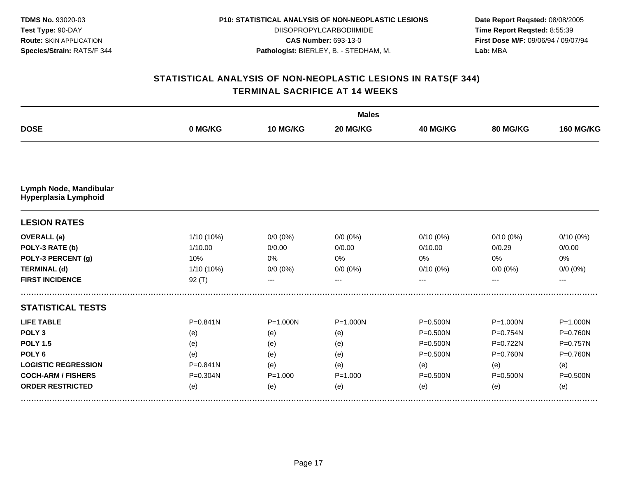| <b>TDMS No. 93020-03</b>       |
|--------------------------------|
| <b>Test Type: 90-DAY</b>       |
| <b>Route: SKIN APPLICATION</b> |
| Species/Strain: RATS/F 344     |

DIISOPROPYLCARBODIIMIDE **CAS Number:** 693-13-0 **Pathologist:** BIERLEY, B. - STEDHAM, M.

**Date Report Reqsted:** 08/08/2005 **Time Report Reqsted:** 8:55:39 **First Dose M/F:** 09/06/94 / 09/07/94 **Lab:** MBA

|                                                |              |              | <b>Males</b> |                 |              |                  |  |  |  |
|------------------------------------------------|--------------|--------------|--------------|-----------------|--------------|------------------|--|--|--|
| <b>DOSE</b>                                    | 0 MG/KG      | 10 MG/KG     | 20 MG/KG     | <b>40 MG/KG</b> | 80 MG/KG     | <b>160 MG/KG</b> |  |  |  |
|                                                |              |              |              |                 |              |                  |  |  |  |
| Lymph Node, Mandibular<br>Hyperplasia Lymphoid |              |              |              |                 |              |                  |  |  |  |
| <b>LESION RATES</b>                            |              |              |              |                 |              |                  |  |  |  |
| <b>OVERALL</b> (a)                             | 1/10 (10%)   | $0/0 (0\%)$  | $0/0(0\%)$   | $0/10(0\%)$     | $0/10(0\%)$  | $0/10(0\%)$      |  |  |  |
| POLY-3 RATE (b)                                | 1/10.00      | 0/0.00       | 0/0.00       | 0/10.00         | 0/0.29       | 0/0.00           |  |  |  |
| POLY-3 PERCENT (g)                             | 10%          | 0%           | 0%           | 0%              | 0%           | 0%               |  |  |  |
| <b>TERMINAL (d)</b>                            | 1/10 (10%)   | $0/0 (0\%)$  | $0/0 (0\%)$  | $0/10(0\%)$     | $0/0 (0\%)$  | $0/0 (0\%)$      |  |  |  |
| <b>FIRST INCIDENCE</b>                         | $92($ T)     | ---          | $---$        | ---             |              | ---              |  |  |  |
| <b>STATISTICAL TESTS</b>                       |              |              |              |                 |              |                  |  |  |  |
| <b>LIFE TABLE</b>                              | $P = 0.841N$ | $P = 1.000N$ | $P = 1.000N$ | P=0.500N        | $P = 1.000N$ | $P = 1.000N$     |  |  |  |
| POLY <sub>3</sub>                              | (e)          | (e)          | (e)          | $P = 0.500N$    | $P = 0.754N$ | P=0.760N         |  |  |  |
| <b>POLY 1.5</b>                                | (e)          | (e)          | (e)          | P=0.500N        | P=0.722N     | P=0.757N         |  |  |  |
| POLY <sub>6</sub>                              | (e)          | (e)          | (e)          | P=0.500N        | $P = 0.760N$ | $P = 0.760N$     |  |  |  |
| <b>LOGISTIC REGRESSION</b>                     | $P = 0.841N$ | (e)          | (e)          | (e)             | (e)          | (e)              |  |  |  |
| <b>COCH-ARM / FISHERS</b>                      | P=0.304N     | $P = 1.000$  | $P = 1.000$  | $P = 0.500N$    | $P = 0.500N$ | $P = 0.500N$     |  |  |  |
| <b>ORDER RESTRICTED</b>                        | (e)          | (e)          | (e)          | (e)             | (e)          | (e)              |  |  |  |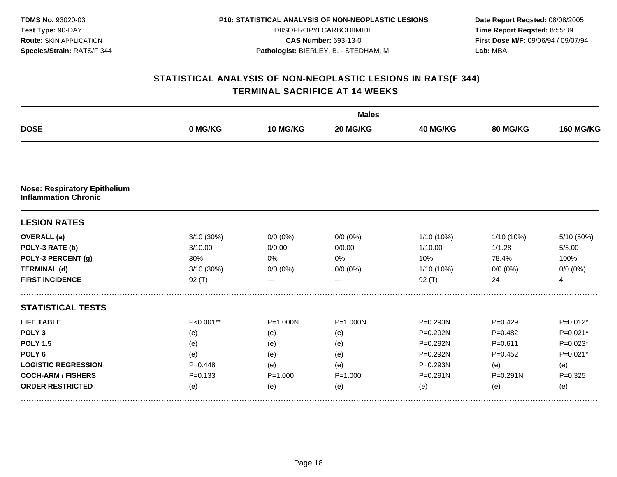| <b>TDMS No. 93020-03</b>       |
|--------------------------------|
| Test Type: 90-DAY              |
| <b>Route: SKIN APPLICATION</b> |
| Species/Strain: RATS/F 344     |

DIISOPROPYLCARBODIIMIDE **CAS Number:** 693-13-0 **Pathologist:** BIERLEY, B. - STEDHAM, M.

**Date Report Reqsted:** 08/08/2005 **Time Report Reqsted:** 8:55:39 **First Dose M/F:** 09/06/94 / 09/07/94 **Lab:** MBA

|                                     |             |              | <b>Males</b> |                 |              |                  |
|-------------------------------------|-------------|--------------|--------------|-----------------|--------------|------------------|
| <b>DOSE</b>                         | 0 MG/KG     | 10 MG/KG     | 20 MG/KG     | <b>40 MG/KG</b> | 80 MG/KG     | <b>160 MG/KG</b> |
| <b>Nose: Respiratory Epithelium</b> |             |              |              |                 |              |                  |
| <b>Inflammation Chronic</b>         |             |              |              |                 |              |                  |
| <b>LESION RATES</b>                 |             |              |              |                 |              |                  |
| <b>OVERALL</b> (a)                  | 3/10 (30%)  | $0/0 (0\%)$  | $0/0 (0\%)$  | 1/10 (10%)      | $1/10(10\%)$ | 5/10 (50%)       |
| POLY-3 RATE (b)                     | 3/10.00     | 0/0.00       | 0/0.00       | 1/10.00         | 1/1.28       | 5/5.00           |
| POLY-3 PERCENT (g)                  | 30%         | 0%           | 0%           | 10%             | 78.4%        | 100%             |
| <b>TERMINAL (d)</b>                 | 3/10 (30%)  | $0/0 (0\%)$  | $0/0 (0\%)$  | 1/10 (10%)      | $0/0 (0\%)$  | $0/0 (0\%)$      |
| <b>FIRST INCIDENCE</b>              | 92(T)       | ---          |              | 92(T)           | 24           | $\overline{4}$   |
| <b>STATISTICAL TESTS</b>            |             |              |              |                 |              |                  |
| <b>LIFE TABLE</b>                   | P<0.001**   | $P = 1.000N$ | $P = 1.000N$ | P=0.293N        | $P=0.429$    | $P=0.012*$       |
| POLY <sub>3</sub>                   | (e)         | (e)          | (e)          | P=0.292N        | $P=0.482$    | $P=0.021*$       |
| <b>POLY 1.5</b>                     | (e)         | (e)          | (e)          | P=0.292N        | $P = 0.611$  | $P=0.023*$       |
| POLY <sub>6</sub>                   | (e)         | (e)          | (e)          | P=0.292N        | $P=0.452$    | $P=0.021*$       |
| <b>LOGISTIC REGRESSION</b>          | $P=0.448$   | (e)          | (e)          | P=0.293N        | (e)          | (e)              |
| <b>COCH-ARM / FISHERS</b>           | $P = 0.133$ | $P = 1.000$  | $P = 1.000$  | $P = 0.291N$    | $P = 0.291N$ | $P = 0.325$      |
| <b>ORDER RESTRICTED</b>             | (e)         | (e)          | (e)          | (e)             | (e)          | (e)              |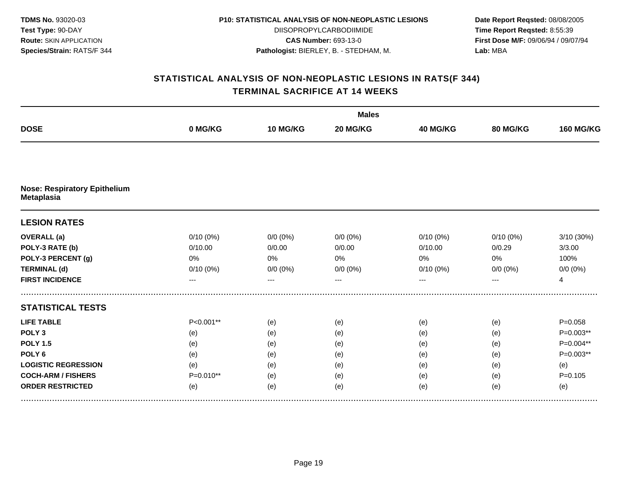| <b>TDMS No. 93020-03</b>       |
|--------------------------------|
| <b>Test Type: 90-DAY</b>       |
| <b>Route: SKIN APPLICATION</b> |
| Species/Strain: RATS/F 344     |

DIISOPROPYLCARBODIIMIDE **CAS Number:** 693-13-0 **Pathologist:** BIERLEY, B. - STEDHAM, M.

**Date Report Reqsted:** 08/08/2005 **Time Report Reqsted:** 8:55:39 **First Dose M/F:** 09/06/94 / 09/07/94 **Lab:** MBA

|                                                          |             |             | <b>Males</b> |                 |             |                  |  |  |  |
|----------------------------------------------------------|-------------|-------------|--------------|-----------------|-------------|------------------|--|--|--|
| <b>DOSE</b>                                              | 0 MG/KG     | 10 MG/KG    | 20 MG/KG     | <b>40 MG/KG</b> | 80 MG/KG    | <b>160 MG/KG</b> |  |  |  |
|                                                          |             |             |              |                 |             |                  |  |  |  |
| <b>Nose: Respiratory Epithelium</b><br><b>Metaplasia</b> |             |             |              |                 |             |                  |  |  |  |
| <b>LESION RATES</b>                                      |             |             |              |                 |             |                  |  |  |  |
| <b>OVERALL</b> (a)                                       | $0/10(0\%)$ | $0/0 (0\%)$ | $0/0 (0\%)$  | $0/10(0\%)$     | $0/10(0\%)$ | 3/10 (30%)       |  |  |  |
| POLY-3 RATE (b)                                          | 0/10.00     | 0/0.00      | 0/0.00       | 0/10.00         | 0/0.29      | 3/3.00           |  |  |  |
| POLY-3 PERCENT (g)                                       | 0%          | 0%          | 0%           | 0%              | 0%          | 100%             |  |  |  |
| <b>TERMINAL (d)</b>                                      | $0/10(0\%)$ | $0/0 (0\%)$ | $0/0 (0\%)$  | 0/10(0%)        | $0/0 (0\%)$ | $0/0 (0\%)$      |  |  |  |
| <b>FIRST INCIDENCE</b>                                   | ---         | ---         |              | ---             | ---         | $\overline{4}$   |  |  |  |
| <b>STATISTICAL TESTS</b>                                 |             |             |              |                 |             |                  |  |  |  |
| <b>LIFE TABLE</b>                                        | P<0.001**   | (e)         | (e)          | (e)             | (e)         | $P = 0.058$      |  |  |  |
| POLY <sub>3</sub>                                        | (e)         | (e)         | (e)          | (e)             | (e)         | P=0.003**        |  |  |  |
| <b>POLY 1.5</b>                                          | (e)         | (e)         | (e)          | (e)             | (e)         | P=0.004**        |  |  |  |
| POLY <sub>6</sub>                                        | (e)         | (e)         | (e)          | (e)             | (e)         | $P=0.003**$      |  |  |  |
| <b>LOGISTIC REGRESSION</b>                               | (e)         | (e)         | (e)          | (e)             | (e)         | (e)              |  |  |  |
| <b>COCH-ARM / FISHERS</b>                                | P=0.010**   | (e)         | (e)          | (e)             | (e)         | $P = 0.105$      |  |  |  |
| <b>ORDER RESTRICTED</b>                                  | (e)         | (e)         | (e)          | (e)             | (e)         | (e)              |  |  |  |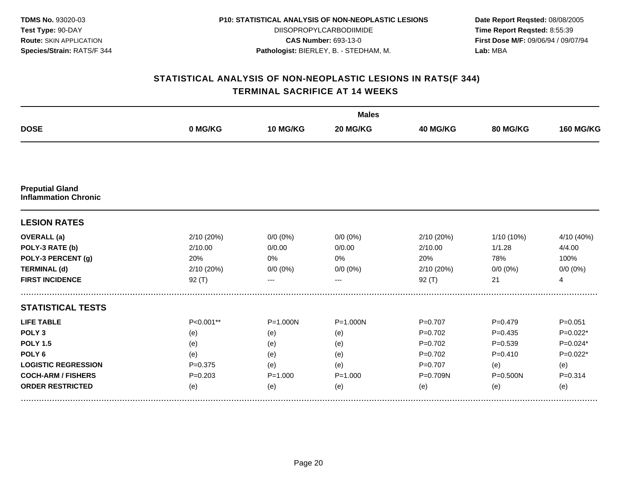| <b>TDMS No. 93020-03</b>       |
|--------------------------------|
| <b>Test Type: 90-DAY</b>       |
| <b>Route: SKIN APPLICATION</b> |
| Species/Strain: RATS/F 344     |

DIISOPROPYLCARBODIIMIDE **CAS Number:** 693-13-0 **Pathologist:** BIERLEY, B. - STEDHAM, M.

**Date Report Reqsted:** 08/08/2005 **Time Report Reqsted:** 8:55:39 **First Dose M/F:** 09/06/94 / 09/07/94 **Lab:** MBA

|                                                       |             |              | <b>Males</b> |                 |                 |                  |  |  |  |
|-------------------------------------------------------|-------------|--------------|--------------|-----------------|-----------------|------------------|--|--|--|
| <b>DOSE</b>                                           | 0 MG/KG     | 10 MG/KG     | 20 MG/KG     | <b>40 MG/KG</b> | <b>80 MG/KG</b> | <b>160 MG/KG</b> |  |  |  |
|                                                       |             |              |              |                 |                 |                  |  |  |  |
| <b>Preputial Gland</b><br><b>Inflammation Chronic</b> |             |              |              |                 |                 |                  |  |  |  |
| <b>LESION RATES</b>                                   |             |              |              |                 |                 |                  |  |  |  |
| <b>OVERALL</b> (a)                                    | 2/10 (20%)  | $0/0 (0\%)$  | $0/0(0\%)$   | 2/10 (20%)      | $1/10(10\%)$    | 4/10 (40%)       |  |  |  |
| POLY-3 RATE (b)                                       | 2/10.00     | 0/0.00       | 0/0.00       | 2/10.00         | 1/1.28          | 4/4.00           |  |  |  |
| POLY-3 PERCENT (g)                                    | 20%         | 0%           | 0%           | 20%             | 78%             | 100%             |  |  |  |
| <b>TERMINAL (d)</b>                                   | 2/10 (20%)  | $0/0 (0\%)$  | $0/0 (0\%)$  | 2/10 (20%)      | $0/0 (0\%)$     | $0/0 (0\%)$      |  |  |  |
| <b>FIRST INCIDENCE</b>                                | $92($ T)    | ---          | $---$        | 92(T)           | 21              | $\overline{4}$   |  |  |  |
| <b>STATISTICAL TESTS</b>                              |             |              |              |                 |                 |                  |  |  |  |
| <b>LIFE TABLE</b>                                     | P<0.001**   | $P = 1.000N$ | $P = 1.000N$ | $P = 0.707$     | $P=0.479$       | $P = 0.051$      |  |  |  |
| POLY <sub>3</sub>                                     | (e)         | (e)          | (e)          | $P=0.702$       | $P=0.435$       | $P=0.022*$       |  |  |  |
| <b>POLY 1.5</b>                                       | (e)         | (e)          | (e)          | $P = 0.702$     | $P = 0.539$     | $P=0.024*$       |  |  |  |
| POLY <sub>6</sub>                                     | (e)         | (e)          | (e)          | $P = 0.702$     | $P = 0.410$     | $P=0.022*$       |  |  |  |
| <b>LOGISTIC REGRESSION</b>                            | $P=0.375$   | (e)          | (e)          | $P = 0.707$     | (e)             | (e)              |  |  |  |
| <b>COCH-ARM / FISHERS</b>                             | $P = 0.203$ | $P = 1.000$  | $P = 1.000$  | P=0.709N        | $P = 0.500N$    | $P = 0.314$      |  |  |  |
| <b>ORDER RESTRICTED</b>                               | (e)         | (e)          | (e)          | (e)             | (e)             | (e)              |  |  |  |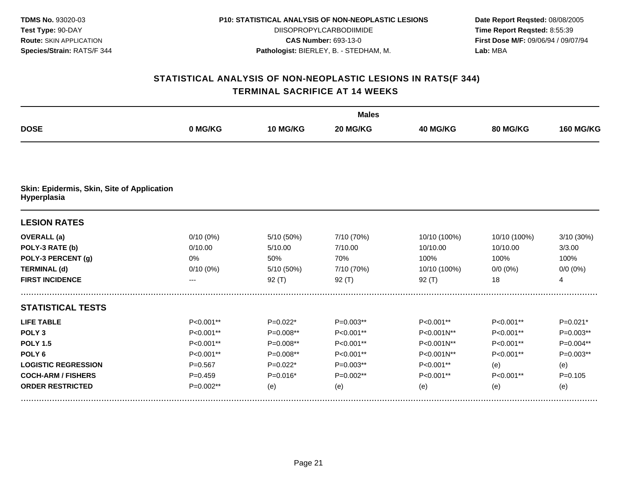| <b>TDMS No. 93020-03</b>       |
|--------------------------------|
| Test Type: 90-DAY              |
| <b>Route: SKIN APPLICATION</b> |
| Species/Strain: RATS/F 344     |

DIISOPROPYLCARBODIIMIDE **CAS Number:** 693-13-0 **Pathologist:** BIERLEY, B. - STEDHAM, M.

**Date Report Reqsted:** 08/08/2005 **Time Report Reqsted:** 8:55:39 **First Dose M/F:** 09/06/94 / 09/07/94 **Lab:** MBA

|                                                           |             |             | <b>Males</b> |              |              |                  |  |  |
|-----------------------------------------------------------|-------------|-------------|--------------|--------------|--------------|------------------|--|--|
| <b>DOSE</b>                                               | 0 MG/KG     | 10 MG/KG    | 20 MG/KG     | 40 MG/KG     | 80 MG/KG     | <b>160 MG/KG</b> |  |  |
|                                                           |             |             |              |              |              |                  |  |  |
| Skin: Epidermis, Skin, Site of Application<br>Hyperplasia |             |             |              |              |              |                  |  |  |
| <b>LESION RATES</b>                                       |             |             |              |              |              |                  |  |  |
| <b>OVERALL</b> (a)                                        | $0/10(0\%)$ | 5/10 (50%)  | 7/10 (70%)   | 10/10 (100%) | 10/10 (100%) | 3/10 (30%)       |  |  |
| POLY-3 RATE (b)                                           | 0/10.00     | 5/10.00     | 7/10.00      | 10/10.00     | 10/10.00     | 3/3.00           |  |  |
| POLY-3 PERCENT (g)                                        | 0%          | 50%         | 70%          | 100%         | 100%         | 100%             |  |  |
| <b>TERMINAL (d)</b>                                       | 0/10(0%)    | 5/10 (50%)  | 7/10 (70%)   | 10/10 (100%) | $0/0 (0\%)$  | $0/0 (0\%)$      |  |  |
| <b>FIRST INCIDENCE</b>                                    | ---         | 92(T)       | 92 $(T)$     | 92(T)        | 18           | 4                |  |  |
| <b>STATISTICAL TESTS</b>                                  |             |             |              |              |              |                  |  |  |
| <b>LIFE TABLE</b>                                         | $P<0.001**$ | $P=0.022*$  | P=0.003**    | P<0.001**    | P<0.001**    | $P=0.021*$       |  |  |
| POLY <sub>3</sub>                                         | $P<0.001**$ | $P=0.008**$ | P<0.001**    | P<0.001N**   | P<0.001**    | P=0.003**        |  |  |
| <b>POLY 1.5</b>                                           | P<0.001**   | $P=0.008**$ | P<0.001**    | P<0.001N**   | P<0.001**    | P=0.004**        |  |  |
| POLY <sub>6</sub>                                         | P<0.001**   | $P=0.008**$ | P<0.001**    | P<0.001N**   | P<0.001**    | P=0.003**        |  |  |
| <b>LOGISTIC REGRESSION</b>                                | $P = 0.567$ | $P=0.022*$  | $P=0.003**$  | P<0.001**    | (e)          | (e)              |  |  |
| <b>COCH-ARM / FISHERS</b>                                 | $P = 0.459$ | $P=0.016*$  | P=0.002**    | P<0.001**    | P<0.001**    | $P = 0.105$      |  |  |
| <b>ORDER RESTRICTED</b>                                   | $P=0.002**$ | (e)         | (e)          | (e)          | (e)          | (e)              |  |  |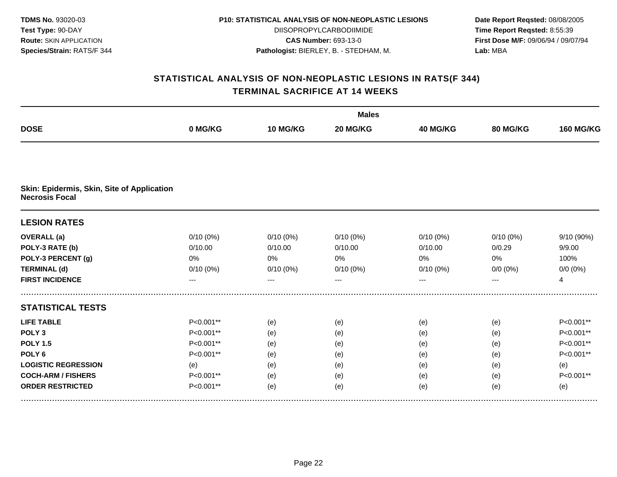| <b>TDMS No. 93020-03</b>       |
|--------------------------------|
| Test Type: 90-DAY              |
| <b>Route: SKIN APPLICATION</b> |
| Species/Strain: RATS/F 344     |

DIISOPROPYLCARBODIIMIDE **CAS Number:** 693-13-0 **Pathologist:** BIERLEY, B. - STEDHAM, M.

**Date Report Reqsted:** 08/08/2005 **Time Report Reqsted:** 8:55:39 **First Dose M/F:** 09/06/94 / 09/07/94 **Lab:** MBA

|                                                                     |             |             | <b>Males</b> |                 |             |                  |  |  |
|---------------------------------------------------------------------|-------------|-------------|--------------|-----------------|-------------|------------------|--|--|
| <b>DOSE</b>                                                         | 0 MG/KG     | 10 MG/KG    | 20 MG/KG     | <b>40 MG/KG</b> | 80 MG/KG    | <b>160 MG/KG</b> |  |  |
|                                                                     |             |             |              |                 |             |                  |  |  |
| Skin: Epidermis, Skin, Site of Application<br><b>Necrosis Focal</b> |             |             |              |                 |             |                  |  |  |
| <b>LESION RATES</b>                                                 |             |             |              |                 |             |                  |  |  |
| <b>OVERALL</b> (a)                                                  | $0/10(0\%)$ | 0/10(0%)    | 0/10(0%)     | $0/10(0\%)$     | $0/10(0\%)$ | 9/10 (90%)       |  |  |
| POLY-3 RATE (b)                                                     | 0/10.00     | 0/10.00     | 0/10.00      | 0/10.00         | 0/0.29      | 9/9.00           |  |  |
| POLY-3 PERCENT (g)                                                  | 0%          | 0%          | 0%           | 0%              | 0%          | 100%             |  |  |
| <b>TERMINAL (d)</b>                                                 | 0/10(0%)    | $0/10(0\%)$ | 0/10(0%)     | $0/10(0\%)$     | $0/0 (0\%)$ | $0/0 (0\%)$      |  |  |
| <b>FIRST INCIDENCE</b>                                              | ---         | ---         | $---$        | $---$           | $---$       | $\overline{4}$   |  |  |
| <b>STATISTICAL TESTS</b>                                            |             |             |              |                 |             |                  |  |  |
| <b>LIFE TABLE</b>                                                   | P<0.001**   | (e)         | (e)          | (e)             | (e)         | P<0.001**        |  |  |
| POLY <sub>3</sub>                                                   | P<0.001**   | (e)         | (e)          | (e)             | (e)         | P<0.001**        |  |  |
| <b>POLY 1.5</b>                                                     | P<0.001**   | (e)         | (e)          | (e)             | (e)         | P<0.001**        |  |  |
| POLY <sub>6</sub>                                                   | P<0.001**   | (e)         | (e)          | (e)             | (e)         | P<0.001**        |  |  |
| <b>LOGISTIC REGRESSION</b>                                          | (e)         | (e)         | (e)          | (e)             | (e)         | (e)              |  |  |
| <b>COCH-ARM / FISHERS</b>                                           | P<0.001**   | (e)         | (e)          | (e)             | (e)         | P<0.001**        |  |  |
| <b>ORDER RESTRICTED</b>                                             | P<0.001**   | (e)         | (e)          | (e)             | (e)         | (e)              |  |  |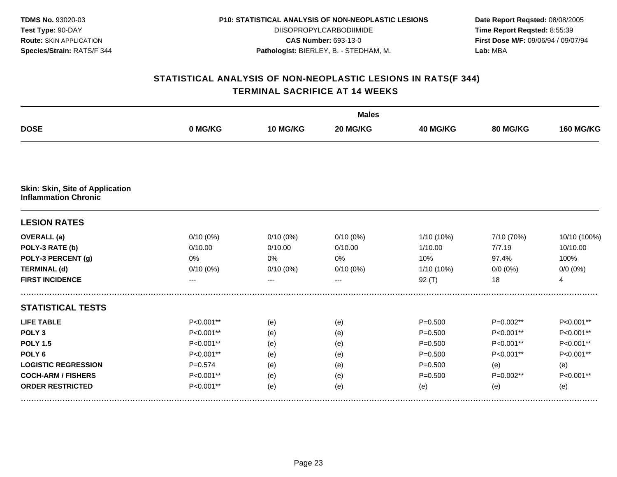| <b>TDMS No. 93020-03</b>       |
|--------------------------------|
| Test Type: 90-DAY              |
| <b>Route: SKIN APPLICATION</b> |
| Species/Strain: RATS/F 344     |

DIISOPROPYLCARBODIIMIDE **CAS Number:** 693-13-0 **Pathologist:** BIERLEY, B. - STEDHAM, M.

**Date Report Reqsted:** 08/08/2005 **Time Report Reqsted:** 8:55:39 **First Dose M/F:** 09/06/94 / 09/07/94 **Lab:** MBA

|                                        |             |             | <b>Males</b> |             |             |                  |  |  |
|----------------------------------------|-------------|-------------|--------------|-------------|-------------|------------------|--|--|
| <b>DOSE</b>                            | 0 MG/KG     | 10 MG/KG    | 20 MG/KG     | 40 MG/KG    | 80 MG/KG    | <b>160 MG/KG</b> |  |  |
| <b>Skin: Skin, Site of Application</b> |             |             |              |             |             |                  |  |  |
| <b>Inflammation Chronic</b>            |             |             |              |             |             |                  |  |  |
| <b>LESION RATES</b>                    |             |             |              |             |             |                  |  |  |
| <b>OVERALL</b> (a)                     | $0/10(0\%)$ | $0/10(0\%)$ | $0/10(0\%)$  | 1/10 (10%)  | 7/10 (70%)  | 10/10 (100%)     |  |  |
| POLY-3 RATE (b)                        | 0/10.00     | 0/10.00     | 0/10.00      | 1/10.00     | 7/7.19      | 10/10.00         |  |  |
| POLY-3 PERCENT (g)                     | 0%          | 0%          | 0%           | 10%         | 97.4%       | 100%             |  |  |
| <b>TERMINAL (d)</b>                    | 0/10(0%)    | $0/10(0\%)$ | 0/10(0%)     | 1/10 (10%)  | $0/0 (0\%)$ | $0/0 (0\%)$      |  |  |
| <b>FIRST INCIDENCE</b>                 | ---         |             |              | $92($ T)    | 18          | $\overline{4}$   |  |  |
| <b>STATISTICAL TESTS</b>               |             |             |              |             |             |                  |  |  |
| <b>LIFE TABLE</b>                      | $P<0.001**$ | (e)         | (e)          | $P = 0.500$ | P=0.002**   | P<0.001**        |  |  |
| POLY <sub>3</sub>                      | P<0.001**   | (e)         | (e)          | $P = 0.500$ | P<0.001**   | P<0.001**        |  |  |
| <b>POLY 1.5</b>                        | P<0.001**   | (e)         | (e)          | $P = 0.500$ | P<0.001**   | P<0.001**        |  |  |
| POLY <sub>6</sub>                      | P<0.001**   | (e)         | (e)          | $P = 0.500$ | P<0.001**   | P<0.001**        |  |  |
| <b>LOGISTIC REGRESSION</b>             | $P = 0.574$ | (e)         | (e)          | $P = 0.500$ | (e)         | (e)              |  |  |
| <b>COCH-ARM / FISHERS</b>              | P<0.001**   | (e)         | (e)          | $P = 0.500$ | P=0.002**   | P<0.001**        |  |  |
| <b>ORDER RESTRICTED</b>                | P<0.001**   | (e)         | (e)          | (e)         | (e)         | (e)              |  |  |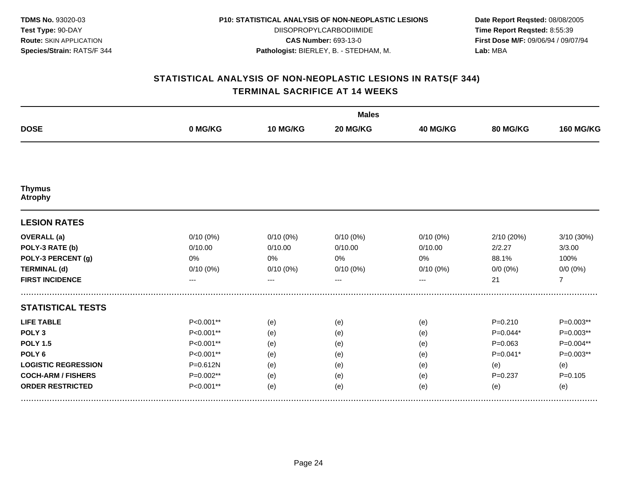| <b>TDMS No. 93020-03</b>       |
|--------------------------------|
| <b>Test Type: 90-DAY</b>       |
| <b>Route: SKIN APPLICATION</b> |
| Species/Strain: RATS/F 344     |

DIISOPROPYLCARBODIIMIDE **CAS Number:** 693-13-0 **Pathologist:** BIERLEY, B. - STEDHAM, M.

**Date Report Reqsted:** 08/08/2005 **Time Report Reqsted:** 8:55:39 **First Dose M/F:** 09/06/94 / 09/07/94 **Lab:** MBA

|                                 |              |             | <b>Males</b> |          |             |                  |  |  |  |
|---------------------------------|--------------|-------------|--------------|----------|-------------|------------------|--|--|--|
| <b>DOSE</b>                     | 0 MG/KG      | 10 MG/KG    | 20 MG/KG     | 40 MG/KG | 80 MG/KG    | <b>160 MG/KG</b> |  |  |  |
|                                 |              |             |              |          |             |                  |  |  |  |
| <b>Thymus</b><br><b>Atrophy</b> |              |             |              |          |             |                  |  |  |  |
| <b>LESION RATES</b>             |              |             |              |          |             |                  |  |  |  |
| <b>OVERALL</b> (a)              | 0/10(0%)     | $0/10(0\%)$ | 0/10(0%)     | 0/10(0%) | 2/10 (20%)  | 3/10 (30%)       |  |  |  |
| POLY-3 RATE (b)                 | 0/10.00      | 0/10.00     | 0/10.00      | 0/10.00  | 2/2.27      | 3/3.00           |  |  |  |
| POLY-3 PERCENT (g)              | 0%           | 0%          | 0%           | 0%       | 88.1%       | 100%             |  |  |  |
| <b>TERMINAL (d)</b>             | 0/10(0%)     | $0/10(0\%)$ | 0/10(0%)     | 0/10(0%) | $0/0 (0\%)$ | $0/0 (0\%)$      |  |  |  |
| <b>FIRST INCIDENCE</b>          | $---$        | $---$       | $--$         | ---      | 21          | $\overline{7}$   |  |  |  |
| <b>STATISTICAL TESTS</b>        |              |             |              |          |             |                  |  |  |  |
| <b>LIFE TABLE</b>               | P<0.001**    | (e)         | (e)          | (e)      | $P = 0.210$ | $P=0.003**$      |  |  |  |
| POLY <sub>3</sub>               | P<0.001**    | (e)         | (e)          | (e)      | $P=0.044*$  | $P=0.003**$      |  |  |  |
| <b>POLY 1.5</b>                 | P<0.001**    | (e)         | (e)          | (e)      | $P = 0.063$ | P=0.004**        |  |  |  |
| POLY <sub>6</sub>               | P<0.001**    | (e)         | (e)          | (e)      | $P=0.041*$  | $P=0.003**$      |  |  |  |
| <b>LOGISTIC REGRESSION</b>      | $P = 0.612N$ | (e)         | (e)          | (e)      | (e)         | (e)              |  |  |  |
| <b>COCH-ARM / FISHERS</b>       | P=0.002**    | (e)         | (e)          | (e)      | $P = 0.237$ | $P = 0.105$      |  |  |  |
| <b>ORDER RESTRICTED</b>         | P<0.001**    | (e)         | (e)          | (e)      | (e)         | (e)              |  |  |  |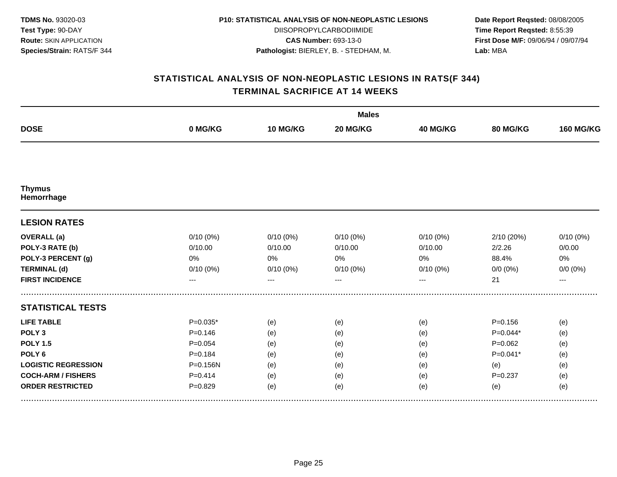| <b>TDMS No. 93020-03</b>       |
|--------------------------------|
| Test Type: 90-DAY              |
| <b>Route: SKIN APPLICATION</b> |
| Species/Strain: RATS/F 344     |

DIISOPROPYLCARBODIIMIDE **CAS Number:** 693-13-0 **Pathologist:** BIERLEY, B. - STEDHAM, M.

**Date Report Reqsted:** 08/08/2005 **Time Report Reqsted:** 8:55:39 **First Dose M/F:** 09/06/94 / 09/07/94 **Lab:** MBA

|                             |             |             | <b>Males</b> |             |             |                  |  |  |
|-----------------------------|-------------|-------------|--------------|-------------|-------------|------------------|--|--|
| <b>DOSE</b>                 | 0 MG/KG     | 10 MG/KG    | 20 MG/KG     | 40 MG/KG    | 80 MG/KG    | <b>160 MG/KG</b> |  |  |
|                             |             |             |              |             |             |                  |  |  |
| <b>Thymus</b><br>Hemorrhage |             |             |              |             |             |                  |  |  |
| <b>LESION RATES</b>         |             |             |              |             |             |                  |  |  |
| <b>OVERALL</b> (a)          | $0/10(0\%)$ | $0/10(0\%)$ | 0/10(0%)     | $0/10(0\%)$ | 2/10(20%)   | 0/10(0%)         |  |  |
| POLY-3 RATE (b)             | 0/10.00     | 0/10.00     | 0/10.00      | 0/10.00     | 2/2.26      | 0/0.00           |  |  |
| POLY-3 PERCENT (g)          | 0%          | 0%          | 0%           | 0%          | 88.4%       | $0\%$            |  |  |
| <b>TERMINAL (d)</b>         | $0/10(0\%)$ | 0/10(0%)    | 0/10(0%)     | 0/10(0%)    | $0/0 (0\%)$ | $0/0 (0\%)$      |  |  |
| <b>FIRST INCIDENCE</b>      | ---         | ---         |              | ---         | 21          | $---$            |  |  |
| <b>STATISTICAL TESTS</b>    |             |             |              |             |             |                  |  |  |
| <b>LIFE TABLE</b>           | $P=0.035*$  | (e)         | (e)          | (e)         | $P = 0.156$ | (e)              |  |  |
| POLY <sub>3</sub>           | $P = 0.146$ | (e)         | (e)          | (e)         | $P=0.044*$  | (e)              |  |  |
| <b>POLY 1.5</b>             | $P = 0.054$ | (e)         | (e)          | (e)         | $P=0.062$   | (e)              |  |  |
| POLY <sub>6</sub>           | $P = 0.184$ | (e)         | (e)          | (e)         | $P=0.041*$  | (e)              |  |  |
| <b>LOGISTIC REGRESSION</b>  | P=0.156N    | (e)         | (e)          | (e)         | (e)         | (e)              |  |  |
| <b>COCH-ARM / FISHERS</b>   | $P=0.414$   | (e)         | (e)          | (e)         | $P = 0.237$ | (e)              |  |  |
| <b>ORDER RESTRICTED</b>     | $P = 0.829$ | (e)         | (e)          | (e)         | (e)         | (e)              |  |  |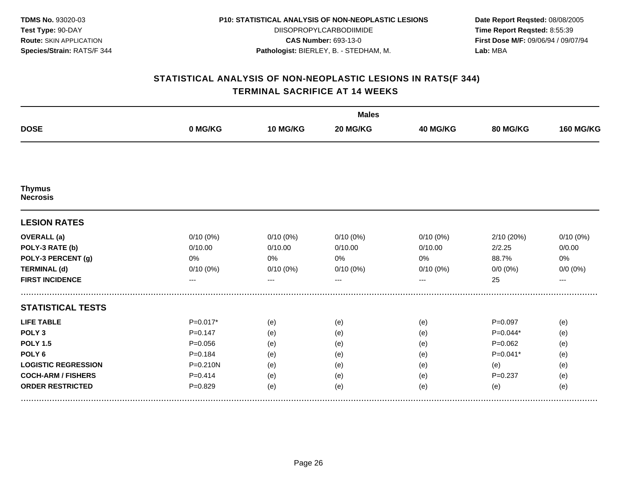| <b>TDMS No. 93020-03</b>       |
|--------------------------------|
| <b>Test Type: 90-DAY</b>       |
| <b>Route: SKIN APPLICATION</b> |
| Species/Strain: RATS/F 344     |

DIISOPROPYLCARBODIIMIDE **CAS Number:** 693-13-0 **Pathologist:** BIERLEY, B. - STEDHAM, M.

**Date Report Reqsted:** 08/08/2005 **Time Report Reqsted:** 8:55:39 **First Dose M/F:** 09/06/94 / 09/07/94 **Lab:** MBA

|                                  |              |             | <b>Males</b> |          |             |                  |  |  |  |
|----------------------------------|--------------|-------------|--------------|----------|-------------|------------------|--|--|--|
| <b>DOSE</b>                      | 0 MG/KG      | 10 MG/KG    | 20 MG/KG     | 40 MG/KG | 80 MG/KG    | <b>160 MG/KG</b> |  |  |  |
|                                  |              |             |              |          |             |                  |  |  |  |
| <b>Thymus</b><br><b>Necrosis</b> |              |             |              |          |             |                  |  |  |  |
| <b>LESION RATES</b>              |              |             |              |          |             |                  |  |  |  |
| <b>OVERALL</b> (a)               | 0/10(0%)     | $0/10(0\%)$ | 0/10(0%)     | 0/10(0%) | 2/10 (20%)  | 0/10(0%)         |  |  |  |
| POLY-3 RATE (b)                  | 0/10.00      | 0/10.00     | 0/10.00      | 0/10.00  | 2/2.25      | 0/0.00           |  |  |  |
| POLY-3 PERCENT (g)               | 0%           | 0%          | 0%           | 0%       | 88.7%       | 0%               |  |  |  |
| <b>TERMINAL (d)</b>              | 0/10(0%)     | $0/10(0\%)$ | $0/10(0\%)$  | 0/10(0%) | $0/0 (0\%)$ | $0/0 (0\%)$      |  |  |  |
| <b>FIRST INCIDENCE</b>           | $---$        | $---$       | $--$         | ---      | 25          | $---$            |  |  |  |
| <b>STATISTICAL TESTS</b>         |              |             |              |          |             |                  |  |  |  |
| <b>LIFE TABLE</b>                | $P=0.017*$   | (e)         | (e)          | (e)      | $P=0.097$   | (e)              |  |  |  |
| POLY <sub>3</sub>                | $P = 0.147$  | (e)         | (e)          | (e)      | $P=0.044*$  | (e)              |  |  |  |
| <b>POLY 1.5</b>                  | $P = 0.056$  | (e)         | (e)          | (e)      | $P=0.062$   | (e)              |  |  |  |
| POLY <sub>6</sub>                | $P = 0.184$  | (e)         | (e)          | (e)      | $P=0.041*$  | (e)              |  |  |  |
| <b>LOGISTIC REGRESSION</b>       | $P = 0.210N$ | (e)         | (e)          | (e)      | (e)         | (e)              |  |  |  |
| <b>COCH-ARM / FISHERS</b>        | $P = 0.414$  | (e)         | (e)          | (e)      | $P = 0.237$ | (e)              |  |  |  |
| <b>ORDER RESTRICTED</b>          | $P = 0.829$  | (e)         | (e)          | (e)      | (e)         | (e)              |  |  |  |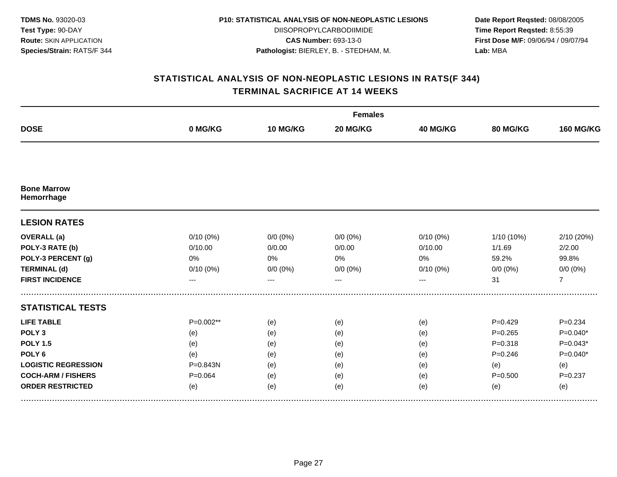| <b>TDMS No. 93020-03</b>       |
|--------------------------------|
| <b>Test Type: 90-DAY</b>       |
| <b>Route: SKIN APPLICATION</b> |
| Species/Strain: RATS/F 344     |

DIISOPROPYLCARBODIIMIDE **CAS Number:** 693-13-0 **Pathologist:** BIERLEY, B. - STEDHAM, M.

**Date Report Reqsted:** 08/08/2005 **Time Report Reqsted:** 8:55:39 **First Dose M/F:** 09/06/94 / 09/07/94 **Lab:** MBA

|                                  |             |             | <b>Females</b> |          |              |                  |  |  |  |
|----------------------------------|-------------|-------------|----------------|----------|--------------|------------------|--|--|--|
| <b>DOSE</b>                      | 0 MG/KG     | 10 MG/KG    | 20 MG/KG       | 40 MG/KG | 80 MG/KG     | <b>160 MG/KG</b> |  |  |  |
|                                  |             |             |                |          |              |                  |  |  |  |
| <b>Bone Marrow</b><br>Hemorrhage |             |             |                |          |              |                  |  |  |  |
| <b>LESION RATES</b>              |             |             |                |          |              |                  |  |  |  |
| <b>OVERALL</b> (a)               | $0/10(0\%)$ | $0/0 (0\%)$ | $0/0 (0\%)$    | 0/10(0%) | $1/10(10\%)$ | 2/10 (20%)       |  |  |  |
| POLY-3 RATE (b)                  | 0/10.00     | 0/0.00      | 0/0.00         | 0/10.00  | 1/1.69       | 2/2.00           |  |  |  |
| POLY-3 PERCENT (g)               | 0%          | 0%          | 0%             | 0%       | 59.2%        | 99.8%            |  |  |  |
| <b>TERMINAL (d)</b>              | 0/10(0%)    | $0/0 (0\%)$ | $0/0 (0\%)$    | 0/10(0%) | $0/0 (0\%)$  | $0/0 (0\%)$      |  |  |  |
| <b>FIRST INCIDENCE</b>           | ---         | ---         | ---            | ---      | 31           | $\overline{7}$   |  |  |  |
| <b>STATISTICAL TESTS</b>         |             |             |                |          |              |                  |  |  |  |
| <b>LIFE TABLE</b>                | $P=0.002**$ | (e)         | (e)            | (e)      | $P=0.429$    | $P = 0.234$      |  |  |  |
| POLY <sub>3</sub>                | (e)         | (e)         | (e)            | (e)      | $P = 0.265$  | $P=0.040*$       |  |  |  |
| <b>POLY 1.5</b>                  | (e)         | (e)         | (e)            | (e)      | $P = 0.318$  | $P=0.043*$       |  |  |  |
| POLY <sub>6</sub>                | (e)         | (e)         | (e)            | (e)      | $P = 0.246$  | $P=0.040*$       |  |  |  |
| <b>LOGISTIC REGRESSION</b>       | P=0.843N    | (e)         | (e)            | (e)      | (e)          | (e)              |  |  |  |
| <b>COCH-ARM / FISHERS</b>        | $P = 0.064$ | (e)         | (e)            | (e)      | $P = 0.500$  | $P = 0.237$      |  |  |  |
| <b>ORDER RESTRICTED</b>          | (e)         | (e)         | (e)            | (e)      | (e)          | (e)              |  |  |  |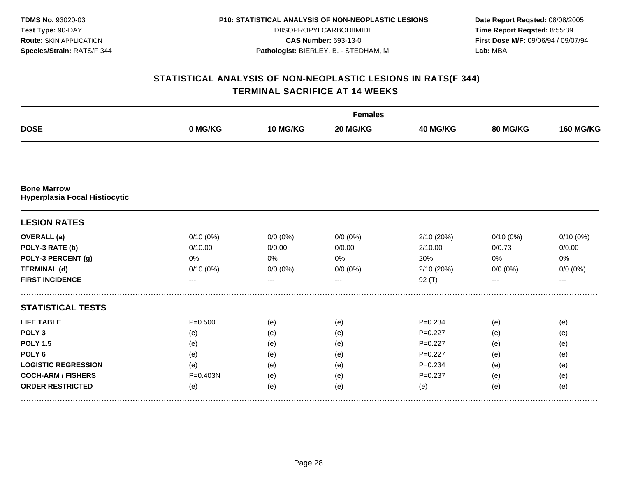| <b>TDMS No. 93020-03</b>       |
|--------------------------------|
| <b>Test Type: 90-DAY</b>       |
| <b>Route: SKIN APPLICATION</b> |
| Species/Strain: RATS/F 344     |

DIISOPROPYLCARBODIIMIDE **CAS Number:** 693-13-0 **Pathologist:** BIERLEY, B. - STEDHAM, M.

**Date Report Reqsted:** 08/08/2005 **Time Report Reqsted:** 8:55:39 **First Dose M/F:** 09/06/94 / 09/07/94 **Lab:** MBA

|                                                            |             | <b>Females</b> |             |             |             |                  |
|------------------------------------------------------------|-------------|----------------|-------------|-------------|-------------|------------------|
| <b>DOSE</b>                                                | 0 MG/KG     | 10 MG/KG       | 20 MG/KG    | 40 MG/KG    | 80 MG/KG    | <b>160 MG/KG</b> |
|                                                            |             |                |             |             |             |                  |
| <b>Bone Marrow</b><br><b>Hyperplasia Focal Histiocytic</b> |             |                |             |             |             |                  |
| <b>LESION RATES</b>                                        |             |                |             |             |             |                  |
| <b>OVERALL</b> (a)                                         | 0/10(0%)    | $0/0 (0\%)$    | $0/0 (0\%)$ | 2/10 (20%)  | $0/10(0\%)$ | 0/10(0%)         |
| POLY-3 RATE (b)                                            | 0/10.00     | 0/0.00         | 0/0.00      | 2/10.00     | 0/0.73      | 0/0.00           |
| POLY-3 PERCENT (g)                                         | 0%          | 0%             | 0%          | 20%         | 0%          | 0%               |
| <b>TERMINAL (d)</b>                                        | 0/10(0%)    | $0/0 (0\%)$    | $0/0 (0\%)$ | 2/10 (20%)  | $0/0 (0\%)$ | $0/0 (0\%)$      |
| <b>FIRST INCIDENCE</b>                                     | ---         | ---            | $---$       | 92(T)       | ---         | $---$            |
| <b>STATISTICAL TESTS</b>                                   |             |                |             |             |             |                  |
| <b>LIFE TABLE</b>                                          | $P = 0.500$ | (e)            | (e)         | $P = 0.234$ | (e)         | (e)              |
| POLY <sub>3</sub>                                          | (e)         | (e)            | (e)         | $P = 0.227$ | (e)         | (e)              |
| <b>POLY 1.5</b>                                            | (e)         | (e)            | (e)         | $P=0.227$   | (e)         | (e)              |
| POLY <sub>6</sub>                                          | (e)         | (e)            | (e)         | $P=0.227$   | (e)         | (e)              |
| <b>LOGISTIC REGRESSION</b>                                 | (e)         | (e)            | (e)         | $P = 0.234$ | (e)         | (e)              |
| <b>COCH-ARM / FISHERS</b>                                  | P=0.403N    | (e)            | (e)         | $P = 0.237$ | (e)         | (e)              |
| <b>ORDER RESTRICTED</b>                                    | (e)         | (e)            | (e)         | (e)         | (e)         | (e)              |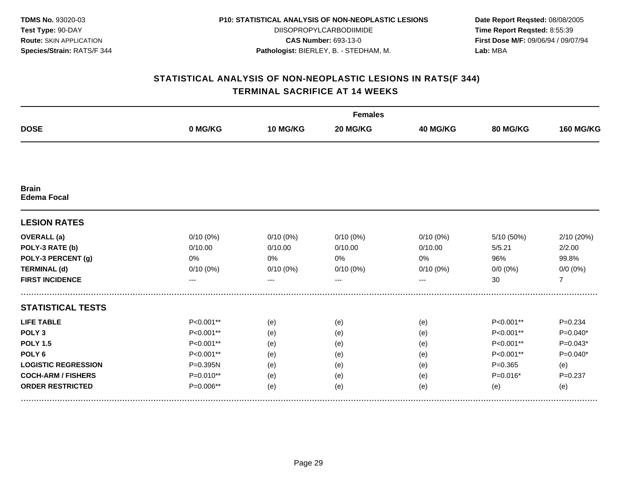| <b>TDMS No. 93020-03</b>       |
|--------------------------------|
| Test Type: 90-DAY              |
| <b>Route: SKIN APPLICATION</b> |
| Species/Strain: RATS/F 344     |

DIISOPROPYLCARBODIIMIDE **CAS Number:** 693-13-0 **Pathologist:** BIERLEY, B. - STEDHAM, M.

**Date Report Reqsted:** 08/08/2005 **Time Report Reqsted:** 8:55:39 **First Dose M/F:** 09/06/94 / 09/07/94 **Lab:** MBA

|                                    |             |             | <b>Females</b> |             |             |                  |  |  |
|------------------------------------|-------------|-------------|----------------|-------------|-------------|------------------|--|--|
| <b>DOSE</b>                        | 0 MG/KG     | 10 MG/KG    | 20 MG/KG       | 40 MG/KG    | 80 MG/KG    | <b>160 MG/KG</b> |  |  |
|                                    |             |             |                |             |             |                  |  |  |
| <b>Brain</b><br><b>Edema Focal</b> |             |             |                |             |             |                  |  |  |
| <b>LESION RATES</b>                |             |             |                |             |             |                  |  |  |
| <b>OVERALL</b> (a)                 | $0/10(0\%)$ | $0/10(0\%)$ | 0/10(0%)       | $0/10(0\%)$ | 5/10 (50%)  | 2/10 (20%)       |  |  |
| POLY-3 RATE (b)                    | 0/10.00     | 0/10.00     | 0/10.00        | 0/10.00     | 5/5.21      | 2/2.00           |  |  |
| POLY-3 PERCENT (g)                 | 0%          | 0%          | 0%             | 0%          | 96%         | 99.8%            |  |  |
| <b>TERMINAL (d)</b>                | 0/10(0%)    | $0/10(0\%)$ | 0/10(0%)       | $0/10(0\%)$ | $0/0 (0\%)$ | $0/0 (0\%)$      |  |  |
| <b>FIRST INCIDENCE</b>             | ---         | ---         | $---$          | ---         | 30          | $\overline{7}$   |  |  |
| <b>STATISTICAL TESTS</b>           |             |             |                |             |             |                  |  |  |
| <b>LIFE TABLE</b>                  | P<0.001**   | (e)         | (e)            | (e)         | P<0.001**   | $P = 0.234$      |  |  |
| POLY <sub>3</sub>                  | P<0.001**   | (e)         | (e)            | (e)         | P<0.001**   | $P=0.040*$       |  |  |
| <b>POLY 1.5</b>                    | P<0.001**   | (e)         | (e)            | (e)         | P<0.001**   | $P=0.043*$       |  |  |
| POLY <sub>6</sub>                  | P<0.001**   | (e)         | (e)            | (e)         | P<0.001**   | $P=0.040*$       |  |  |
| <b>LOGISTIC REGRESSION</b>         | P=0.395N    | (e)         | (e)            | (e)         | $P = 0.365$ | (e)              |  |  |
| <b>COCH-ARM / FISHERS</b>          | $P=0.010**$ | (e)         | (e)            | (e)         | $P=0.016*$  | $P = 0.237$      |  |  |
| <b>ORDER RESTRICTED</b>            | $P=0.006**$ | (e)         | (e)            | (e)         | (e)         | (e)              |  |  |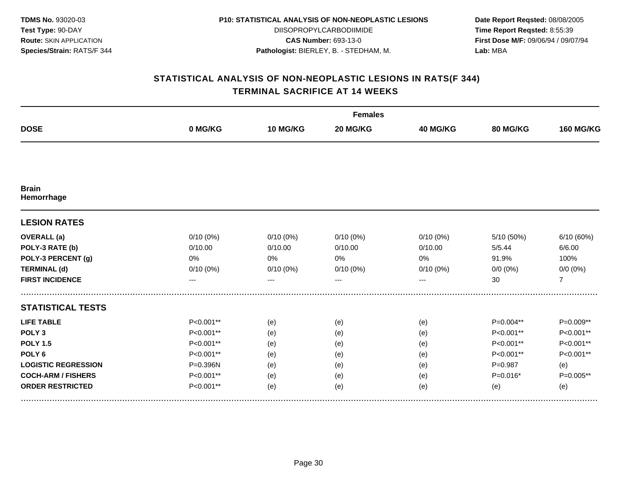| <b>TDMS No. 93020-03</b>       |
|--------------------------------|
| <b>Test Type: 90-DAY</b>       |
| <b>Route: SKIN APPLICATION</b> |
| Species/Strain: RATS/F 344     |

DIISOPROPYLCARBODIIMIDE **CAS Number:** 693-13-0 **Pathologist:** BIERLEY, B. - STEDHAM, M.

**Date Report Reqsted:** 08/08/2005 **Time Report Reqsted:** 8:55:39 **First Dose M/F:** 09/06/94 / 09/07/94 **Lab:** MBA

|                            |           |             | <b>Females</b> |          |             |                  |  |  |  |
|----------------------------|-----------|-------------|----------------|----------|-------------|------------------|--|--|--|
| <b>DOSE</b>                | 0 MG/KG   | 10 MG/KG    | 20 MG/KG       | 40 MG/KG | 80 MG/KG    | <b>160 MG/KG</b> |  |  |  |
|                            |           |             |                |          |             |                  |  |  |  |
| <b>Brain</b><br>Hemorrhage |           |             |                |          |             |                  |  |  |  |
| <b>LESION RATES</b>        |           |             |                |          |             |                  |  |  |  |
| <b>OVERALL</b> (a)         | 0/10(0%)  | $0/10(0\%)$ | 0/10(0%)       | 0/10(0%) | 5/10 (50%)  | 6/10 (60%)       |  |  |  |
| POLY-3 RATE (b)            | 0/10.00   | 0/10.00     | 0/10.00        | 0/10.00  | 5/5.44      | 6/6.00           |  |  |  |
| POLY-3 PERCENT (g)         | 0%        | 0%          | 0%             | 0%       | 91.9%       | 100%             |  |  |  |
| <b>TERMINAL (d)</b>        | 0/10(0%)  | $0/10(0\%)$ | 0/10(0%)       | 0/10(0%) | $0/0 (0\%)$ | $0/0 (0\%)$      |  |  |  |
| <b>FIRST INCIDENCE</b>     | ---       | $---$       | $--$           | ---      | 30          | $\overline{7}$   |  |  |  |
| <b>STATISTICAL TESTS</b>   |           |             |                |          |             |                  |  |  |  |
| <b>LIFE TABLE</b>          | P<0.001** | (e)         | (e)            | (e)      | P=0.004**   | P=0.009**        |  |  |  |
| POLY <sub>3</sub>          | P<0.001** | (e)         | (e)            | (e)      | P<0.001**   | P<0.001**        |  |  |  |
| <b>POLY 1.5</b>            | P<0.001** | (e)         | (e)            | (e)      | P<0.001**   | P<0.001**        |  |  |  |
| POLY <sub>6</sub>          | P<0.001** | (e)         | (e)            | (e)      | P<0.001**   | P<0.001**        |  |  |  |
| <b>LOGISTIC REGRESSION</b> | P=0.396N  | (e)         | (e)            | (e)      | $P = 0.987$ | (e)              |  |  |  |
| <b>COCH-ARM / FISHERS</b>  | P<0.001** | (e)         | (e)            | (e)      | $P=0.016*$  | P=0.005**        |  |  |  |
| <b>ORDER RESTRICTED</b>    | P<0.001** | (e)         | (e)            | (e)      | (e)         | (e)              |  |  |  |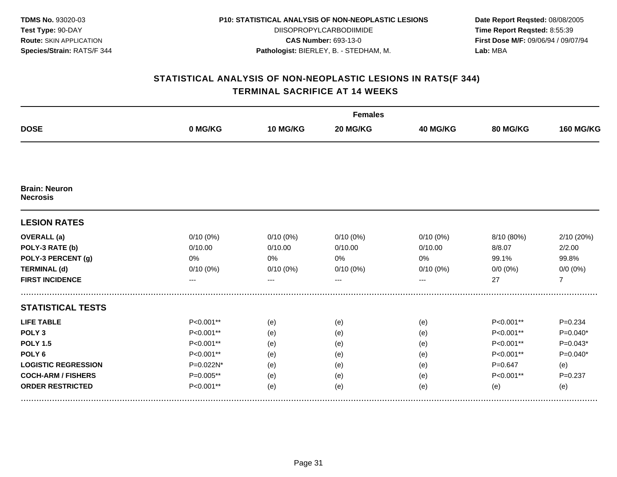| <b>TDMS No. 93020-03</b>       |
|--------------------------------|
| <b>Test Type: 90-DAY</b>       |
| <b>Route: SKIN APPLICATION</b> |
| Species/Strain: RATS/F 344     |

DIISOPROPYLCARBODIIMIDE **CAS Number:** 693-13-0 **Pathologist:** BIERLEY, B. - STEDHAM, M.

**Date Report Reqsted:** 08/08/2005 **Time Report Reqsted:** 8:55:39 **First Dose M/F:** 09/06/94 / 09/07/94 **Lab:** MBA

|                                         |              |             | <b>Females</b> |             |             |                  |  |  |
|-----------------------------------------|--------------|-------------|----------------|-------------|-------------|------------------|--|--|
| <b>DOSE</b>                             | 0 MG/KG      | 10 MG/KG    | 20 MG/KG       | 40 MG/KG    | 80 MG/KG    | <b>160 MG/KG</b> |  |  |
|                                         |              |             |                |             |             |                  |  |  |
| <b>Brain: Neuron</b><br><b>Necrosis</b> |              |             |                |             |             |                  |  |  |
| <b>LESION RATES</b>                     |              |             |                |             |             |                  |  |  |
| <b>OVERALL</b> (a)                      | $0/10(0\%)$  | $0/10(0\%)$ | 0/10(0%)       | $0/10(0\%)$ | 8/10 (80%)  | 2/10 (20%)       |  |  |
| POLY-3 RATE (b)                         | 0/10.00      | 0/10.00     | 0/10.00        | 0/10.00     | 8/8.07      | 2/2.00           |  |  |
| POLY-3 PERCENT (g)                      | 0%           | 0%          | 0%             | 0%          | 99.1%       | 99.8%            |  |  |
| <b>TERMINAL (d)</b>                     | 0/10(0%)     | $0/10(0\%)$ | 0/10(0%)       | $0/10(0\%)$ | $0/0 (0\%)$ | $0/0 (0\%)$      |  |  |
| <b>FIRST INCIDENCE</b>                  | ---          | ---         | $---$          | ---         | 27          | $\overline{7}$   |  |  |
| <b>STATISTICAL TESTS</b>                |              |             |                |             |             |                  |  |  |
| <b>LIFE TABLE</b>                       | $P<0.001**$  | (e)         | (e)            | (e)         | P<0.001**   | $P = 0.234$      |  |  |
| POLY <sub>3</sub>                       | P<0.001**    | (e)         | (e)            | (e)         | P<0.001**   | $P=0.040*$       |  |  |
| <b>POLY 1.5</b>                         | P<0.001**    | (e)         | (e)            | (e)         | P<0.001**   | $P=0.043*$       |  |  |
| POLY <sub>6</sub>                       | P<0.001**    | (e)         | (e)            | (e)         | P<0.001**   | $P=0.040*$       |  |  |
| <b>LOGISTIC REGRESSION</b>              | $P=0.022N^*$ | (e)         | (e)            | (e)         | $P=0.647$   | (e)              |  |  |
| <b>COCH-ARM / FISHERS</b>               | $P=0.005**$  | (e)         | (e)            | (e)         | P<0.001**   | $P = 0.237$      |  |  |
| <b>ORDER RESTRICTED</b>                 | $P<0.001**$  | (e)         | (e)            | (e)         | (e)         | (e)              |  |  |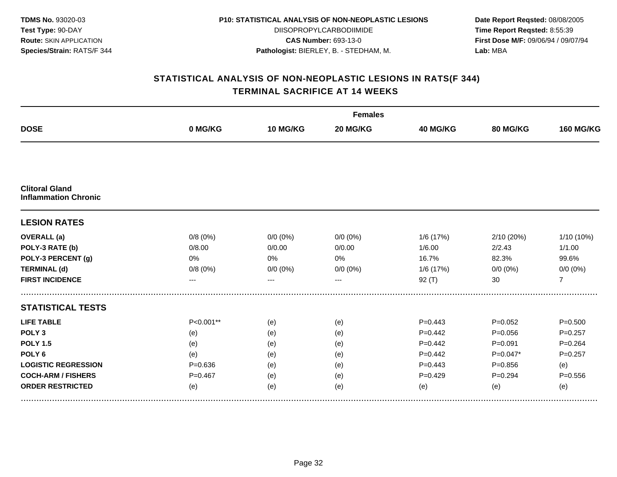| <b>TDMS No. 93020-03</b>       |
|--------------------------------|
| <b>Test Type: 90-DAY</b>       |
| <b>Route: SKIN APPLICATION</b> |
| Species/Strain: RATS/F 344     |

DIISOPROPYLCARBODIIMIDE **CAS Number:** 693-13-0 **Pathologist:** BIERLEY, B. - STEDHAM, M.

**Date Report Reqsted:** 08/08/2005 **Time Report Reqsted:** 8:55:39 **First Dose M/F:** 09/06/94 / 09/07/94 **Lab:** MBA

|                                                      |             |             | <b>Females</b> |                 |             |                  |  |  |  |
|------------------------------------------------------|-------------|-------------|----------------|-----------------|-------------|------------------|--|--|--|
| <b>DOSE</b>                                          | 0 MG/KG     | 10 MG/KG    | 20 MG/KG       | <b>40 MG/KG</b> | 80 MG/KG    | <b>160 MG/KG</b> |  |  |  |
|                                                      |             |             |                |                 |             |                  |  |  |  |
| <b>Clitoral Gland</b><br><b>Inflammation Chronic</b> |             |             |                |                 |             |                  |  |  |  |
| <b>LESION RATES</b>                                  |             |             |                |                 |             |                  |  |  |  |
| <b>OVERALL</b> (a)                                   | 0/8(0%)     | $0/0 (0\%)$ | $0/0 (0\%)$    | 1/6 (17%)       | 2/10 (20%)  | 1/10 (10%)       |  |  |  |
| POLY-3 RATE (b)                                      | 0/8.00      | 0/0.00      | 0/0.00         | 1/6.00          | 2/2.43      | 1/1.00           |  |  |  |
| POLY-3 PERCENT (g)                                   | 0%          | 0%          | 0%             | 16.7%           | 82.3%       | 99.6%            |  |  |  |
| <b>TERMINAL (d)</b>                                  | 0/8(0%)     | $0/0 (0\%)$ | $0/0 (0\%)$    | 1/6 (17%)       | $0/0 (0\%)$ | $0/0 (0\%)$      |  |  |  |
| <b>FIRST INCIDENCE</b>                               | $---$       | $---$       | $---$          | 92(T)           | 30          | $\overline{7}$   |  |  |  |
| <b>STATISTICAL TESTS</b>                             |             |             |                |                 |             |                  |  |  |  |
| <b>LIFE TABLE</b>                                    | P<0.001**   | (e)         | (e)            | $P=0.443$       | $P=0.052$   | $P = 0.500$      |  |  |  |
| POLY <sub>3</sub>                                    | (e)         | (e)         | (e)            | $P=0.442$       | $P = 0.056$ | $P=0.257$        |  |  |  |
| <b>POLY 1.5</b>                                      | (e)         | (e)         | (e)            | $P=0.442$       | $P = 0.091$ | $P = 0.264$      |  |  |  |
| POLY <sub>6</sub>                                    | (e)         | (e)         | (e)            | $P=0.442$       | $P=0.047*$  | $P = 0.257$      |  |  |  |
| <b>LOGISTIC REGRESSION</b>                           | $P = 0.636$ | (e)         | (e)            | $P = 0.443$     | $P = 0.856$ | (e)              |  |  |  |
| <b>COCH-ARM / FISHERS</b>                            | $P = 0.467$ | (e)         | (e)            | $P=0.429$       | $P=0.294$   | $P = 0.556$      |  |  |  |
| <b>ORDER RESTRICTED</b>                              | (e)         | (e)         | (e)            | (e)             | (e)         | (e)              |  |  |  |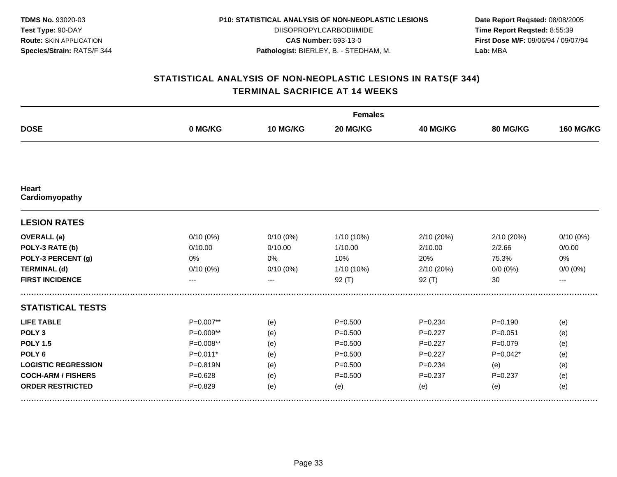| <b>TDMS No. 93020-03</b>       |
|--------------------------------|
| <b>Test Type: 90-DAY</b>       |
| <b>Route: SKIN APPLICATION</b> |
| Species/Strain: RATS/F 344     |

DIISOPROPYLCARBODIIMIDE **CAS Number:** 693-13-0 **Pathologist:** BIERLEY, B. - STEDHAM, M.

**Date Report Reqsted:** 08/08/2005 **Time Report Reqsted:** 8:55:39 **First Dose M/F:** 09/06/94 / 09/07/94 **Lab:** MBA

|                            |             |                 | <b>Females</b> |             |             |                  |
|----------------------------|-------------|-----------------|----------------|-------------|-------------|------------------|
| <b>DOSE</b>                | 0 MG/KG     | <b>10 MG/KG</b> | 20 MG/KG       | 40 MG/KG    | 80 MG/KG    | <b>160 MG/KG</b> |
|                            |             |                 |                |             |             |                  |
| Heart<br>Cardiomyopathy    |             |                 |                |             |             |                  |
| <b>LESION RATES</b>        |             |                 |                |             |             |                  |
| <b>OVERALL</b> (a)         | $0/10(0\%)$ | $0/10(0\%)$     | 1/10 (10%)     | 2/10 (20%)  | 2/10(20%)   | $0/10(0\%)$      |
| POLY-3 RATE (b)            | 0/10.00     | 0/10.00         | 1/10.00        | 2/10.00     | 2/2.66      | 0/0.00           |
| POLY-3 PERCENT (g)         | 0%          | 0%              | 10%            | 20%         | 75.3%       | 0%               |
| <b>TERMINAL (d)</b>        | 0/10(0%)    | $0/10(0\%)$     | 1/10 (10%)     | 2/10 (20%)  | $0/0 (0\%)$ | $0/0 (0\%)$      |
| <b>FIRST INCIDENCE</b>     | ---         | $---$           | $92($ T)       | $92($ T)    | 30          | ---              |
| <b>STATISTICAL TESTS</b>   |             |                 |                |             |             |                  |
| <b>LIFE TABLE</b>          | P=0.007**   | (e)             | $P = 0.500$    | $P = 0.234$ | $P = 0.190$ | (e)              |
| POLY <sub>3</sub>          | $P=0.009**$ | (e)             | $P = 0.500$    | $P=0.227$   | $P = 0.051$ | (e)              |
| <b>POLY 1.5</b>            | $P=0.008**$ | (e)             | $P = 0.500$    | $P=0.227$   | $P = 0.079$ | (e)              |
| POLY <sub>6</sub>          | $P=0.011*$  | (e)             | $P = 0.500$    | $P = 0.227$ | $P=0.042*$  | (e)              |
| <b>LOGISTIC REGRESSION</b> | P=0.819N    | (e)             | $P = 0.500$    | $P = 0.234$ | (e)         | (e)              |
| <b>COCH-ARM / FISHERS</b>  | $P = 0.628$ | (e)             | $P = 0.500$    | $P = 0.237$ | $P = 0.237$ | (e)              |
| <b>ORDER RESTRICTED</b>    | $P = 0.829$ | (e)             | (e)            | (e)         | (e)         | (e)              |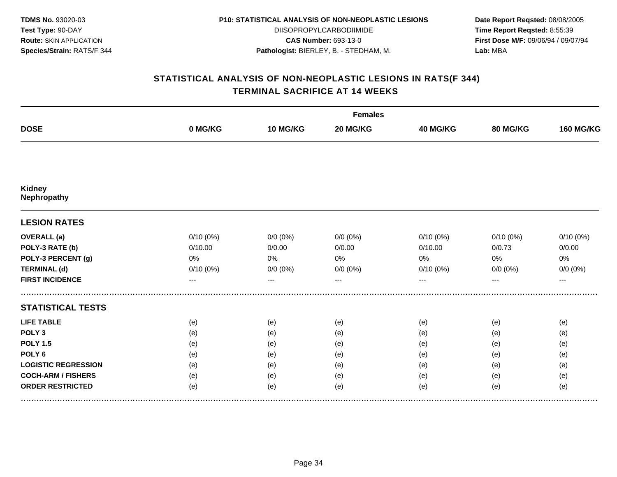**TDMS No.** 93020-03 **Test Type:** 90-DAY **Route:** SKIN APPLICATION **Species/Strain:** RATS/F 344

#### **P10: STATISTICAL ANALYSIS OF NON-NEOPLASTIC LESIONS**

DIISOPROPYLCARBODIIMIDE **CAS Number:** 693-13-0 **Pathologist:** BIERLEY, B. - STEDHAM, M.

**Date Report Reqsted:** 08/08/2005 **Time Report Reqsted:** 8:55:39 **First Dose M/F:** 09/06/94 / 09/07/94 **Lab:** MBA

|                              |                   |             | <b>Females</b> |             |             |                  |
|------------------------------|-------------------|-------------|----------------|-------------|-------------|------------------|
| <b>DOSE</b>                  | 0 MG/KG           | 10 MG/KG    | 20 MG/KG       | 40 MG/KG    | 80 MG/KG    | <b>160 MG/KG</b> |
|                              |                   |             |                |             |             |                  |
| <b>Kidney</b><br>Nephropathy |                   |             |                |             |             |                  |
| <b>LESION RATES</b>          |                   |             |                |             |             |                  |
| <b>OVERALL</b> (a)           | 0/10(0%)          | $0/0 (0\%)$ | $0/0 (0\%)$    | $0/10(0\%)$ | $0/10(0\%)$ | 0/10(0%)         |
| POLY-3 RATE (b)              | 0/10.00           | 0/0.00      | 0/0.00         | 0/10.00     | 0/0.73      | 0/0.00           |
| POLY-3 PERCENT (g)           | 0%                | 0%          | 0%             | 0%          | 0%          | 0%               |
| <b>TERMINAL (d)</b>          | 0/10(0%)          | $0/0 (0\%)$ | $0/0 (0\%)$    | $0/10(0\%)$ | $0/0 (0\%)$ | $0/0 (0\%)$      |
| <b>FIRST INCIDENCE</b>       | $\qquad \qquad -$ | $---$       | $---$          | ---         |             | $---$            |
| <b>STATISTICAL TESTS</b>     |                   |             |                |             |             |                  |
| <b>LIFE TABLE</b>            | (e)               | (e)         | (e)            | (e)         | (e)         | (e)              |
| POLY <sub>3</sub>            | (e)               | (e)         | (e)            | (e)         | (e)         | (e)              |
| <b>POLY 1.5</b>              | (e)               | (e)         | (e)            | (e)         | (e)         | (e)              |
| POLY <sub>6</sub>            | (e)               | (e)         | (e)            | (e)         | (e)         | (e)              |
| <b>LOGISTIC REGRESSION</b>   | (e)               | (e)         | (e)            | (e)         | (e)         | (e)              |
| <b>COCH-ARM / FISHERS</b>    | (e)               | (e)         | (e)            | (e)         | (e)         | (e)              |
| <b>ORDER RESTRICTED</b>      | (e)               | (e)         | (e)            | (e)         | (e)         | (e)              |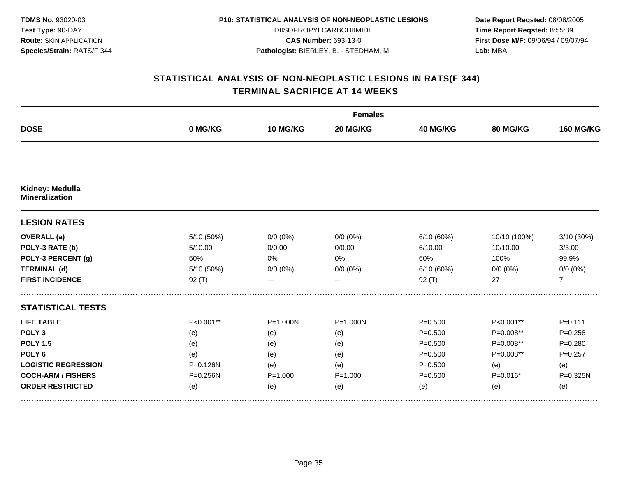| <b>TDMS No. 93020-03</b>       |
|--------------------------------|
| <b>Test Type: 90-DAY</b>       |
| <b>Route: SKIN APPLICATION</b> |
| Species/Strain: RATS/F 344     |

DIISOPROPYLCARBODIIMIDE **CAS Number:** 693-13-0 **Pathologist:** BIERLEY, B. - STEDHAM, M.

**Date Report Reqsted:** 08/08/2005 **Time Report Reqsted:** 8:55:39 **First Dose M/F:** 09/06/94 / 09/07/94 **Lab:** MBA

| <b>DOSE</b>                              |            |              | <b>Females</b> |             |              |                  |
|------------------------------------------|------------|--------------|----------------|-------------|--------------|------------------|
|                                          | 0 MG/KG    | 10 MG/KG     | 20 MG/KG       | 40 MG/KG    | 80 MG/KG     | <b>160 MG/KG</b> |
|                                          |            |              |                |             |              |                  |
| Kidney: Medulla<br><b>Mineralization</b> |            |              |                |             |              |                  |
| <b>LESION RATES</b>                      |            |              |                |             |              |                  |
| <b>OVERALL</b> (a)                       | 5/10 (50%) | $0/0 (0\%)$  | $0/0 (0\%)$    | 6/10 (60%)  | 10/10 (100%) | 3/10 (30%)       |
| POLY-3 RATE (b)                          | 5/10.00    | 0/0.00       | 0/0.00         | 6/10.00     | 10/10.00     | 3/3.00           |
| POLY-3 PERCENT (g)                       | 50%        | 0%           | 0%             | 60%         | 100%         | 99.9%            |
| <b>TERMINAL (d)</b>                      | 5/10 (50%) | $0/0 (0\%)$  | $0/0 (0\%)$    | 6/10 (60%)  | $0/0 (0\%)$  | $0/0 (0\%)$      |
| <b>FIRST INCIDENCE</b>                   | $92($ T)   | $---$        | $--$           | 92(T)       | 27           | $\overline{7}$   |
| <b>STATISTICAL TESTS</b>                 |            |              |                |             |              |                  |
| <b>LIFE TABLE</b>                        | P<0.001**  | $P = 1.000N$ | $P = 1.000N$   | $P = 0.500$ | P<0.001**    | $P = 0.111$      |
| POLY <sub>3</sub>                        | (e)        | (e)          | (e)            | $P = 0.500$ | P=0.008**    | $P = 0.258$      |
| <b>POLY 1.5</b>                          | (e)        | (e)          | (e)            | $P = 0.500$ | P=0.008**    | $P = 0.280$      |
| POLY <sub>6</sub>                        | (e)        | (e)          | (e)            | $P = 0.500$ | P=0.008**    | $P = 0.257$      |
| <b>LOGISTIC REGRESSION</b>               | P=0.126N   | (e)          | (e)            | $P = 0.500$ | (e)          | (e)              |
| <b>COCH-ARM / FISHERS</b>                | P=0.256N   | $P = 1.000$  | $P = 1.000$    | $P = 0.500$ | $P=0.016*$   | P=0.325N         |
| <b>ORDER RESTRICTED</b>                  | (e)        | (e)          | (e)            | (e)         | (e)          | (e)              |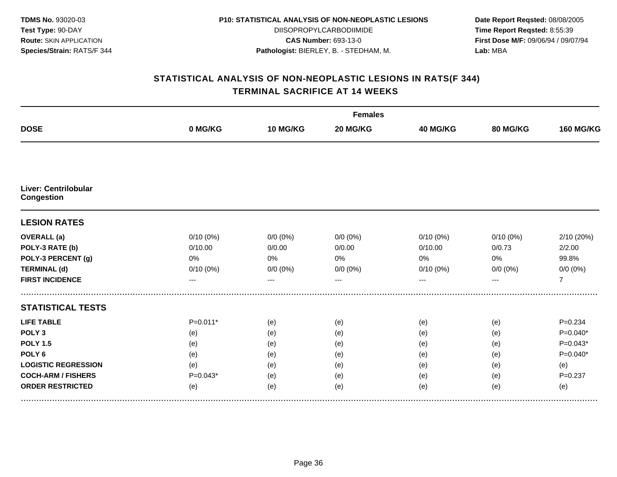| <b>TDMS No. 93020-03</b>       |
|--------------------------------|
| <b>Test Type: 90-DAY</b>       |
| <b>Route: SKIN APPLICATION</b> |
| Species/Strain: RATS/F 344     |

DIISOPROPYLCARBODIIMIDE **CAS Number:** 693-13-0 **Pathologist:** BIERLEY, B. - STEDHAM, M.

**Date Report Reqsted:** 08/08/2005 **Time Report Reqsted:** 8:55:39 **First Dose M/F:** 09/06/94 / 09/07/94 **Lab:** MBA

| <b>DOSE</b>                                      |             |             | <b>Females</b> |             |             |                  |
|--------------------------------------------------|-------------|-------------|----------------|-------------|-------------|------------------|
|                                                  | 0 MG/KG     | 10 MG/KG    | 20 MG/KG       | 40 MG/KG    | 80 MG/KG    | <b>160 MG/KG</b> |
|                                                  |             |             |                |             |             |                  |
| <b>Liver: Centrilobular</b><br><b>Congestion</b> |             |             |                |             |             |                  |
| <b>LESION RATES</b>                              |             |             |                |             |             |                  |
| <b>OVERALL</b> (a)                               | $0/10(0\%)$ | $0/0 (0\%)$ | $0/0 (0\%)$    | $0/10(0\%)$ | $0/10(0\%)$ | 2/10 (20%)       |
| POLY-3 RATE (b)                                  | 0/10.00     | 0/0.00      | 0/0.00         | 0/10.00     | 0/0.73      | 2/2.00           |
| POLY-3 PERCENT (g)                               | 0%          | 0%          | 0%             | 0%          | 0%          | 99.8%            |
| <b>TERMINAL (d)</b>                              | $0/10(0\%)$ | $0/0 (0\%)$ | $0/0 (0\%)$    | 0/10(0%)    | $0/0 (0\%)$ | $0/0 (0\%)$      |
| <b>FIRST INCIDENCE</b>                           | ---         | ---         |                | ---         | ---         | $\overline{7}$   |
| <b>STATISTICAL TESTS</b>                         |             |             |                |             |             |                  |
| <b>LIFE TABLE</b>                                | $P=0.011*$  | (e)         | (e)            | (e)         | (e)         | $P = 0.234$      |
| POLY <sub>3</sub>                                | (e)         | (e)         | (e)            | (e)         | (e)         | $P=0.040*$       |
| <b>POLY 1.5</b>                                  | (e)         | (e)         | (e)            | (e)         | (e)         | $P=0.043*$       |
| POLY <sub>6</sub>                                | (e)         | (e)         | (e)            | (e)         | (e)         | $P=0.040*$       |
| <b>LOGISTIC REGRESSION</b>                       | (e)         | (e)         | (e)            | (e)         | (e)         | (e)              |
| <b>COCH-ARM / FISHERS</b>                        | $P=0.043*$  | (e)         | (e)            | (e)         | (e)         | $P = 0.237$      |
| <b>ORDER RESTRICTED</b>                          | (e)         | (e)         | (e)            | (e)         | (e)         | (e)              |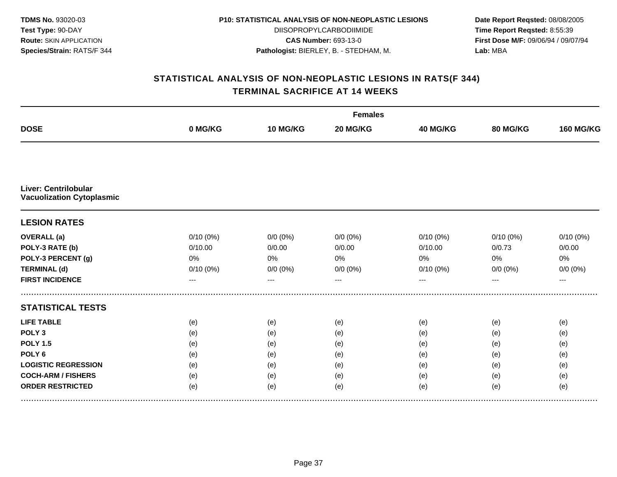| <b>TDMS No. 93020-03</b>       |
|--------------------------------|
| <b>Test Type: 90-DAY</b>       |
| <b>Route: SKIN APPLICATION</b> |
| Species/Strain: RATS/F 344     |

DIISOPROPYLCARBODIIMIDE **CAS Number:** 693-13-0 **Pathologist:** BIERLEY, B. - STEDHAM, M.

**Date Report Reqsted:** 08/08/2005 **Time Report Reqsted:** 8:55:39 **First Dose M/F:** 09/06/94 / 09/07/94 **Lab:** MBA

| <b>DOSE</b>                                                     |             |             | <b>Females</b> |                 |             |                  |
|-----------------------------------------------------------------|-------------|-------------|----------------|-----------------|-------------|------------------|
|                                                                 | 0 MG/KG     | 10 MG/KG    | 20 MG/KG       | <b>40 MG/KG</b> | 80 MG/KG    | <b>160 MG/KG</b> |
|                                                                 |             |             |                |                 |             |                  |
| <b>Liver: Centrilobular</b><br><b>Vacuolization Cytoplasmic</b> |             |             |                |                 |             |                  |
| <b>LESION RATES</b>                                             |             |             |                |                 |             |                  |
| <b>OVERALL</b> (a)                                              | $0/10(0\%)$ | $0/0 (0\%)$ | $0/0 (0\%)$    | $0/10(0\%)$     | $0/10(0\%)$ | 0/10(0%)         |
| POLY-3 RATE (b)                                                 | 0/10.00     | 0/0.00      | 0/0.00         | 0/10.00         | 0/0.73      | 0/0.00           |
| POLY-3 PERCENT (g)                                              | 0%          | 0%          | 0%             | 0%              | 0%          | 0%               |
| <b>TERMINAL (d)</b>                                             | 0/10(0%)    | $0/0 (0\%)$ | $0/0 (0\%)$    | $0/10(0\%)$     | $0/0 (0\%)$ | $0/0 (0\%)$      |
| <b>FIRST INCIDENCE</b>                                          | ---         | ---         | $---$          | ---             | ---         | $---$            |
| <b>STATISTICAL TESTS</b>                                        |             |             |                |                 |             |                  |
| <b>LIFE TABLE</b>                                               | (e)         | (e)         | (e)            | (e)             | (e)         | (e)              |
| POLY <sub>3</sub>                                               | (e)         | (e)         | (e)            | (e)             | (e)         | (e)              |
| <b>POLY 1.5</b>                                                 | (e)         | (e)         | (e)            | (e)             | (e)         | (e)              |
| POLY <sub>6</sub>                                               | (e)         | (e)         | (e)            | (e)             | (e)         | (e)              |
| <b>LOGISTIC REGRESSION</b>                                      | (e)         | (e)         | (e)            | (e)             | (e)         | (e)              |
| <b>COCH-ARM / FISHERS</b>                                       | (e)         | (e)         | (e)            | (e)             | (e)         | (e)              |
| <b>ORDER RESTRICTED</b>                                         | (e)         | (e)         | (e)            | (e)             | (e)         | (e)              |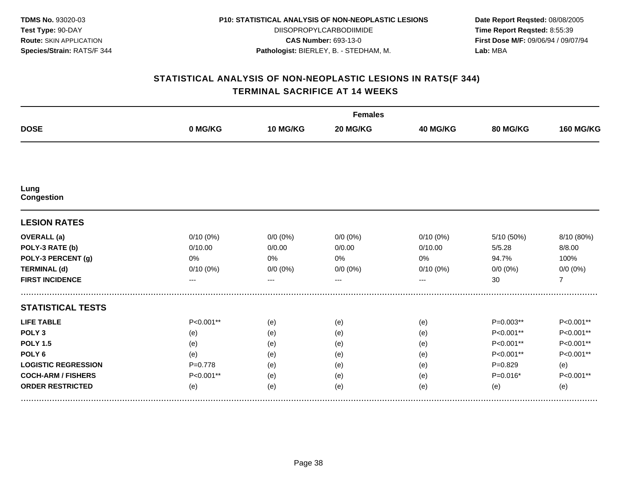| <b>TDMS No. 93020-03</b>       |
|--------------------------------|
| Test Type: 90-DAY              |
| <b>Route: SKIN APPLICATION</b> |
| Species/Strain: RATS/F 344     |

DIISOPROPYLCARBODIIMIDE **CAS Number:** 693-13-0 **Pathologist:** BIERLEY, B. - STEDHAM, M.

**Date Report Reqsted:** 08/08/2005 **Time Report Reqsted:** 8:55:39 **First Dose M/F:** 09/06/94 / 09/07/94 **Lab:** MBA

|                            |             |             | <b>Females</b> |                 |             |                  |
|----------------------------|-------------|-------------|----------------|-----------------|-------------|------------------|
| <b>DOSE</b>                | 0 MG/KG     | 10 MG/KG    | 20 MG/KG       | <b>40 MG/KG</b> | 80 MG/KG    | <b>160 MG/KG</b> |
|                            |             |             |                |                 |             |                  |
| Lung<br><b>Congestion</b>  |             |             |                |                 |             |                  |
| <b>LESION RATES</b>        |             |             |                |                 |             |                  |
| <b>OVERALL</b> (a)         | $0/10(0\%)$ | $0/0 (0\%)$ | $0/0(0\%)$     | $0/10(0\%)$     | 5/10 (50%)  | 8/10 (80%)       |
| POLY-3 RATE (b)            | 0/10.00     | 0/0.00      | 0/0.00         | 0/10.00         | 5/5.28      | 8/8.00           |
| POLY-3 PERCENT (g)         | 0%          | 0%          | 0%             | $0\%$           | 94.7%       | 100%             |
| <b>TERMINAL (d)</b>        | 0/10(0%)    | $0/0 (0\%)$ | $0/0 (0\%)$    | $0/10(0\%)$     | $0/0 (0\%)$ | $0/0 (0\%)$      |
| <b>FIRST INCIDENCE</b>     | ---         | ---         | $---$          | ---             | 30          | $\overline{7}$   |
| <b>STATISTICAL TESTS</b>   |             |             |                |                 |             |                  |
| <b>LIFE TABLE</b>          | P<0.001**   | (e)         | (e)            | (e)             | P=0.003**   | P<0.001**        |
| POLY <sub>3</sub>          | (e)         | (e)         | (e)            | (e)             | P<0.001**   | P<0.001**        |
| <b>POLY 1.5</b>            | (e)         | (e)         | (e)            | (e)             | P<0.001**   | P<0.001**        |
| POLY <sub>6</sub>          | (e)         | (e)         | (e)            | (e)             | P<0.001**   | P<0.001**        |
| <b>LOGISTIC REGRESSION</b> | $P=0.778$   | (e)         | (e)            | (e)             | $P=0.829$   | (e)              |
| <b>COCH-ARM / FISHERS</b>  | P<0.001**   | (e)         | (e)            | (e)             | $P=0.016*$  | P<0.001**        |
| <b>ORDER RESTRICTED</b>    | (e)         | (e)         | (e)            | (e)             | (e)         | (e)              |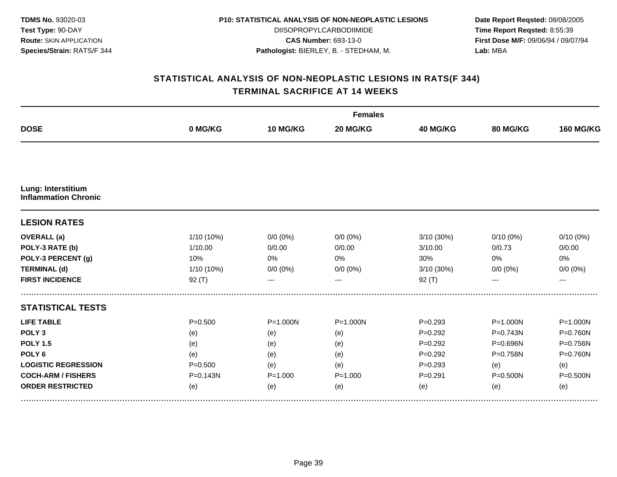| <b>TDMS No. 93020-03</b>       |
|--------------------------------|
| <b>Test Type: 90-DAY</b>       |
| <b>Route: SKIN APPLICATION</b> |
| Species/Strain: RATS/F 344     |

DIISOPROPYLCARBODIIMIDE **CAS Number:** 693-13-0 **Pathologist:** BIERLEY, B. - STEDHAM, M.

**Date Report Reqsted:** 08/08/2005 **Time Report Reqsted:** 8:55:39 **First Dose M/F:** 09/06/94 / 09/07/94 **Lab:** MBA

|                                                   |              |              | <b>Females</b> |                 |              |                  |
|---------------------------------------------------|--------------|--------------|----------------|-----------------|--------------|------------------|
| <b>DOSE</b>                                       | 0 MG/KG      | 10 MG/KG     | 20 MG/KG       | <b>40 MG/KG</b> | 80 MG/KG     | <b>160 MG/KG</b> |
|                                                   |              |              |                |                 |              |                  |
| Lung: Interstitium<br><b>Inflammation Chronic</b> |              |              |                |                 |              |                  |
| <b>LESION RATES</b>                               |              |              |                |                 |              |                  |
| <b>OVERALL</b> (a)                                | 1/10 (10%)   | $0/0 (0\%)$  | $0/0 (0\%)$    | 3/10 (30%)      | $0/10(0\%)$  | $0/10(0\%)$      |
| POLY-3 RATE (b)                                   | 1/10.00      | 0/0.00       | 0/0.00         | 3/10.00         | 0/0.73       | 0/0.00           |
| POLY-3 PERCENT (g)                                | 10%          | 0%           | 0%             | 30%             | 0%           | 0%               |
| <b>TERMINAL (d)</b>                               | 1/10 (10%)   | $0/0 (0\%)$  | $0/0 (0\%)$    | 3/10 (30%)      | $0/0 (0\%)$  | $0/0 (0\%)$      |
| <b>FIRST INCIDENCE</b>                            | 92(T)        | ---          |                | $92($ T)        |              | ---              |
| <b>STATISTICAL TESTS</b>                          |              |              |                |                 |              |                  |
| <b>LIFE TABLE</b>                                 | $P = 0.500$  | $P = 1.000N$ | $P = 1.000N$   | $P = 0.293$     | $P = 1.000N$ | $P = 1.000N$     |
| POLY <sub>3</sub>                                 | (e)          | (e)          | (e)            | $P = 0.292$     | P=0.743N     | P=0.760N         |
| <b>POLY 1.5</b>                                   | (e)          | (e)          | (e)            | $P = 0.292$     | P=0.696N     | P=0.756N         |
| POLY <sub>6</sub>                                 | (e)          | (e)          | (e)            | $P=0.292$       | P=0.758N     | $P = 0.760N$     |
| <b>LOGISTIC REGRESSION</b>                        | $P = 0.500$  | (e)          | (e)            | $P = 0.293$     | (e)          | (e)              |
| <b>COCH-ARM / FISHERS</b>                         | $P = 0.143N$ | $P = 1.000$  | $P = 1.000$    | $P = 0.291$     | $P = 0.500N$ | $P = 0.500N$     |
| <b>ORDER RESTRICTED</b>                           | (e)          | (e)          | (e)            | (e)             | (e)          | (e)              |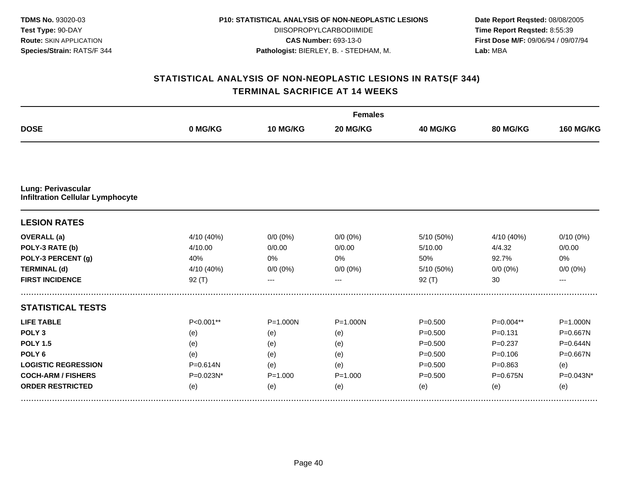| <b>TDMS No. 93020-03</b>       |
|--------------------------------|
| <b>Test Type: 90-DAY</b>       |
| <b>Route: SKIN APPLICATION</b> |
| Species/Strain: RATS/F 344     |

DIISOPROPYLCARBODIIMIDE **CAS Number:** 693-13-0 **Pathologist:** BIERLEY, B. - STEDHAM, M.

**Date Report Reqsted:** 08/08/2005 **Time Report Reqsted:** 8:55:39 **First Dose M/F:** 09/06/94 / 09/07/94 **Lab:** MBA

| <b>DOSE</b>                                                          | 0 MG/KG      | 10 MG/KG     | 20 MG/KG     | <b>40 MG/KG</b> | <b>80 MG/KG</b> | <b>160 MG/KG</b> |
|----------------------------------------------------------------------|--------------|--------------|--------------|-----------------|-----------------|------------------|
|                                                                      |              |              |              |                 |                 |                  |
| <b>Lung: Perivascular</b><br><b>Infiltration Cellular Lymphocyte</b> |              |              |              |                 |                 |                  |
| <b>LESION RATES</b>                                                  |              |              |              |                 |                 |                  |
| <b>OVERALL</b> (a)                                                   | 4/10 (40%)   | $0/0 (0\%)$  | $0/0(0\%)$   | 5/10 (50%)      | 4/10 (40%)      | $0/10(0\%)$      |
| POLY-3 RATE (b)                                                      | 4/10.00      | 0/0.00       | 0/0.00       | 5/10.00         | 4/4.32          | 0/0.00           |
| POLY-3 PERCENT (g)                                                   | 40%          | 0%           | 0%           | 50%             | 92.7%           | 0%               |
| <b>TERMINAL (d)</b>                                                  | 4/10 (40%)   | $0/0 (0\%)$  | $0/0 (0\%)$  | 5/10 (50%)      | $0/0 (0\%)$     | $0/0 (0\%)$      |
| <b>FIRST INCIDENCE</b>                                               | $92($ T)     | ---          | $---$        | 92(T)           | 30              | ---              |
| <b>STATISTICAL TESTS</b>                                             |              |              |              |                 |                 |                  |
| <b>LIFE TABLE</b>                                                    | $P<0.001**$  | $P = 1.000N$ | $P = 1.000N$ | $P = 0.500$     | $P=0.004**$     | $P = 1.000N$     |
| POLY <sub>3</sub>                                                    | (e)          | (e)          | (e)          | $P = 0.500$     | $P = 0.131$     | P=0.667N         |
| <b>POLY 1.5</b>                                                      | (e)          | (e)          | (e)          | $P = 0.500$     | $P=0.237$       | P=0.644N         |
| POLY <sub>6</sub>                                                    | (e)          | (e)          | (e)          | $P = 0.500$     | $P = 0.106$     | P=0.667N         |
| <b>LOGISTIC REGRESSION</b>                                           | $P = 0.614N$ | (e)          | (e)          | $P = 0.500$     | $P = 0.863$     | (e)              |
| <b>COCH-ARM / FISHERS</b>                                            | P=0.023N*    | $P = 1.000$  | $P = 1.000$  | $P = 0.500$     | P=0.675N        | P=0.043N*        |
| <b>ORDER RESTRICTED</b>                                              | (e)          | (e)          | (e)          | (e)             | (e)             | (e)              |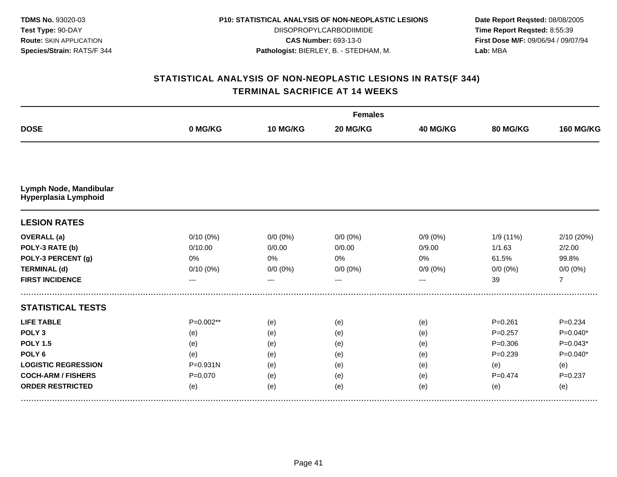| <b>TDMS No. 93020-03</b>       |
|--------------------------------|
| Test Type: 90-DAY              |
| <b>Route: SKIN APPLICATION</b> |
| Species/Strain: RATS/F 344     |

DIISOPROPYLCARBODIIMIDE **CAS Number:** 693-13-0 **Pathologist:** BIERLEY, B. - STEDHAM, M.

**Date Report Reqsted:** 08/08/2005 **Time Report Reqsted:** 8:55:39 **First Dose M/F:** 09/06/94 / 09/07/94 **Lab:** MBA

|                                                |              | <b>Females</b> |             |                 |             |                  |  |  |  |
|------------------------------------------------|--------------|----------------|-------------|-----------------|-------------|------------------|--|--|--|
| <b>DOSE</b>                                    | 0 MG/KG      | 10 MG/KG       | 20 MG/KG    | <b>40 MG/KG</b> | 80 MG/KG    | <b>160 MG/KG</b> |  |  |  |
|                                                |              |                |             |                 |             |                  |  |  |  |
| Lymph Node, Mandibular<br>Hyperplasia Lymphoid |              |                |             |                 |             |                  |  |  |  |
| <b>LESION RATES</b>                            |              |                |             |                 |             |                  |  |  |  |
| <b>OVERALL</b> (a)                             | $0/10(0\%)$  | $0/0 (0\%)$    | $0/0(0\%)$  | $0/9(0\%)$      | 1/9 (11%)   | 2/10 (20%)       |  |  |  |
| POLY-3 RATE (b)                                | 0/10.00      | 0/0.00         | 0/0.00      | 0/9.00          | 1/1.63      | 2/2.00           |  |  |  |
| POLY-3 PERCENT (g)                             | 0%           | 0%             | 0%          | 0%              | 61.5%       | 99.8%            |  |  |  |
| <b>TERMINAL (d)</b>                            | 0/10(0%)     | $0/0 (0\%)$    | $0/0 (0\%)$ | $0/9(0\%)$      | $0/0 (0\%)$ | $0/0 (0\%)$      |  |  |  |
| <b>FIRST INCIDENCE</b>                         | ---          | ---            | $---$       | ---             | 39          | $\overline{7}$   |  |  |  |
| <b>STATISTICAL TESTS</b>                       |              |                |             |                 |             |                  |  |  |  |
| <b>LIFE TABLE</b>                              | $P=0.002**$  | (e)            | (e)         | (e)             | $P = 0.261$ | $P = 0.234$      |  |  |  |
| POLY <sub>3</sub>                              | (e)          | (e)            | (e)         | (e)             | $P=0.257$   | $P=0.040*$       |  |  |  |
| <b>POLY 1.5</b>                                | (e)          | (e)            | (e)         | (e)             | $P = 0.306$ | $P=0.043*$       |  |  |  |
| POLY <sub>6</sub>                              | (e)          | (e)            | (e)         | (e)             | $P = 0.239$ | $P=0.040*$       |  |  |  |
| <b>LOGISTIC REGRESSION</b>                     | $P = 0.931N$ | (e)            | (e)         | (e)             | (e)         | (e)              |  |  |  |
| <b>COCH-ARM / FISHERS</b>                      | $P = 0.070$  | (e)            | (e)         | (e)             | $P = 0.474$ | $P = 0.237$      |  |  |  |
| <b>ORDER RESTRICTED</b>                        | (e)          | (e)            | (e)         | (e)             | (e)         | (e)              |  |  |  |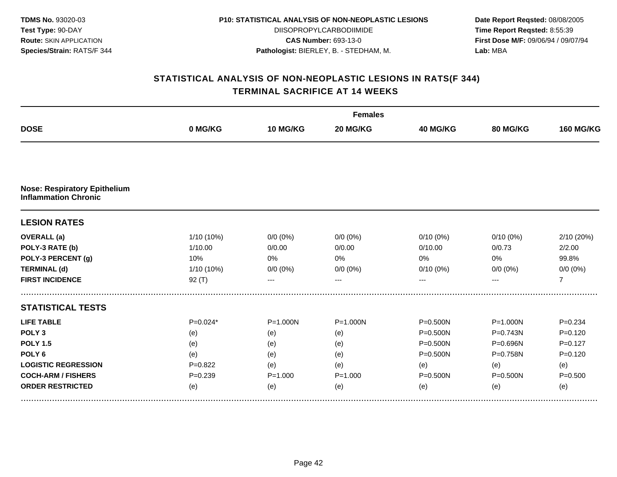| <b>TDMS No. 93020-03</b>       |
|--------------------------------|
| <b>Test Type: 90-DAY</b>       |
| <b>Route: SKIN APPLICATION</b> |
| Species/Strain: RATS/F 344     |

DIISOPROPYLCARBODIIMIDE **CAS Number:** 693-13-0 **Pathologist:** BIERLEY, B. - STEDHAM, M.

**Date Report Reqsted:** 08/08/2005 **Time Report Reqsted:** 8:55:39 **First Dose M/F:** 09/06/94 / 09/07/94 **Lab:** MBA

|                                                                    |             | <b>Females</b> |              |                 |                 |                  |  |  |
|--------------------------------------------------------------------|-------------|----------------|--------------|-----------------|-----------------|------------------|--|--|
| <b>DOSE</b>                                                        | 0 MG/KG     | 10 MG/KG       | 20 MG/KG     | <b>40 MG/KG</b> | <b>80 MG/KG</b> | <b>160 MG/KG</b> |  |  |
|                                                                    |             |                |              |                 |                 |                  |  |  |
| <b>Nose: Respiratory Epithelium</b><br><b>Inflammation Chronic</b> |             |                |              |                 |                 |                  |  |  |
| <b>LESION RATES</b>                                                |             |                |              |                 |                 |                  |  |  |
| <b>OVERALL</b> (a)                                                 | 1/10 (10%)  | $0/0 (0\%)$    | $0/0(0\%)$   | $0/10(0\%)$     | $0/10(0\%)$     | 2/10 (20%)       |  |  |
| POLY-3 RATE (b)                                                    | 1/10.00     | 0/0.00         | 0/0.00       | 0/10.00         | 0/0.73          | 2/2.00           |  |  |
| POLY-3 PERCENT (g)                                                 | 10%         | 0%             | 0%           | 0%              | 0%              | 99.8%            |  |  |
| <b>TERMINAL (d)</b>                                                | 1/10 (10%)  | $0/0 (0\%)$    | $0/0 (0\%)$  | $0/10(0\%)$     | $0/0 (0\%)$     | $0/0 (0\%)$      |  |  |
| <b>FIRST INCIDENCE</b>                                             | $92($ T)    | ---            | $---$        | ---             |                 | $\overline{7}$   |  |  |
| <b>STATISTICAL TESTS</b>                                           |             |                |              |                 |                 |                  |  |  |
| <b>LIFE TABLE</b>                                                  | $P=0.024*$  | $P = 1.000N$   | $P = 1.000N$ | P=0.500N        | $P = 1.000N$    | $P=0.234$        |  |  |
| POLY <sub>3</sub>                                                  | (e)         | (e)            | (e)          | P=0.500N        | P=0.743N        | $P=0.120$        |  |  |
| <b>POLY 1.5</b>                                                    | (e)         | (e)            | (e)          | P=0.500N        | P=0.696N        | $P=0.127$        |  |  |
| POLY <sub>6</sub>                                                  | (e)         | (e)            | (e)          | P=0.500N        | $P = 0.758N$    | $P = 0.120$      |  |  |
| <b>LOGISTIC REGRESSION</b>                                         | $P=0.822$   | (e)            | (e)          | (e)             | (e)             | (e)              |  |  |
| <b>COCH-ARM / FISHERS</b>                                          | $P = 0.239$ | $P = 1.000$    | $P = 1.000$  | P=0.500N        | P=0.500N        | $P = 0.500$      |  |  |
| <b>ORDER RESTRICTED</b>                                            | (e)         | (e)            | (e)          | (e)             | (e)             | (e)              |  |  |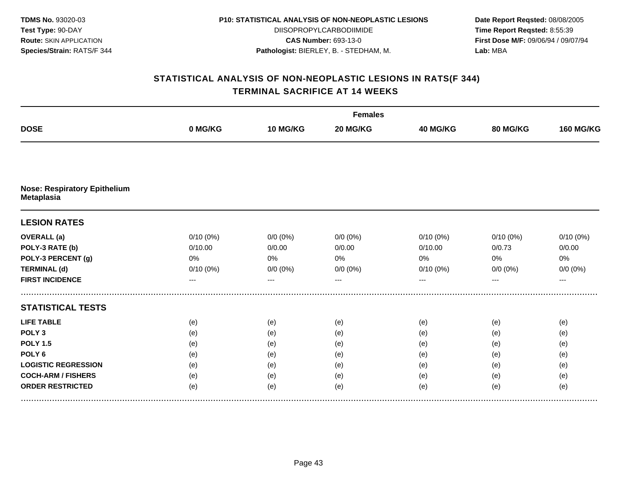**TDMS No.** 93020-03 **Test Type:** 90-DAY **Route:** SKIN APPLICATION **Species/Strain:** RATS/F 344

#### **P10: STATISTICAL ANALYSIS OF NON-NEOPLASTIC LESIONS**

DIISOPROPYLCARBODIIMIDE **CAS Number:** 693-13-0 **Pathologist:** BIERLEY, B. - STEDHAM, M.

**Date Report Reqsted:** 08/08/2005 **Time Report Reqsted:** 8:55:39 **First Dose M/F:** 09/06/94 / 09/07/94 **Lab:** MBA

|                                                          |             | <b>Females</b> |             |             |             |                  |  |  |
|----------------------------------------------------------|-------------|----------------|-------------|-------------|-------------|------------------|--|--|
| <b>DOSE</b>                                              | 0 MG/KG     | 10 MG/KG       | 20 MG/KG    | 40 MG/KG    | 80 MG/KG    | <b>160 MG/KG</b> |  |  |
|                                                          |             |                |             |             |             |                  |  |  |
| <b>Nose: Respiratory Epithelium</b><br><b>Metaplasia</b> |             |                |             |             |             |                  |  |  |
| <b>LESION RATES</b>                                      |             |                |             |             |             |                  |  |  |
| <b>OVERALL</b> (a)                                       | $0/10(0\%)$ | $0/0 (0\%)$    | $0/0 (0\%)$ | $0/10(0\%)$ | $0/10(0\%)$ | 0/10(0%)         |  |  |
| POLY-3 RATE (b)                                          | 0/10.00     | 0/0.00         | 0/0.00      | 0/10.00     | 0/0.73      | 0/0.00           |  |  |
| POLY-3 PERCENT (g)                                       | 0%          | 0%             | 0%          | 0%          | 0%          | 0%               |  |  |
| <b>TERMINAL (d)</b>                                      | 0/10(0%)    | $0/0 (0\%)$    | $0/0 (0\%)$ | $0/10(0\%)$ | $0/0 (0\%)$ | $0/0 (0\%)$      |  |  |
| <b>FIRST INCIDENCE</b>                                   | ---         | ---            | $---$       | ---         | ---         | ---              |  |  |
| <b>STATISTICAL TESTS</b>                                 |             |                |             |             |             |                  |  |  |
| <b>LIFE TABLE</b>                                        | (e)         | (e)            | (e)         | (e)         | (e)         | (e)              |  |  |
| POLY <sub>3</sub>                                        | (e)         | (e)            | (e)         | (e)         | (e)         | (e)              |  |  |
| <b>POLY 1.5</b>                                          | (e)         | (e)            | (e)         | (e)         | (e)         | (e)              |  |  |
| POLY <sub>6</sub>                                        | (e)         | (e)            | (e)         | (e)         | (e)         | (e)              |  |  |
| <b>LOGISTIC REGRESSION</b>                               | (e)         | (e)            | (e)         | (e)         | (e)         | (e)              |  |  |
| <b>COCH-ARM / FISHERS</b>                                | (e)         | (e)            | (e)         | (e)         | (e)         | (e)              |  |  |
| <b>ORDER RESTRICTED</b>                                  | (e)         | (e)            | (e)         | (e)         | (e)         | (e)              |  |  |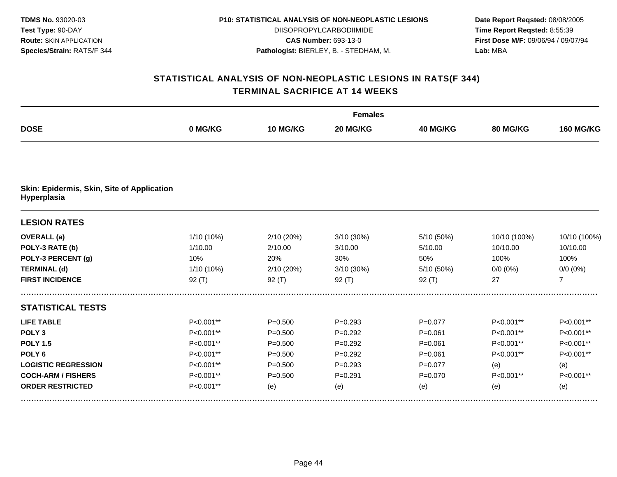| <b>TDMS No. 93020-03</b>       |
|--------------------------------|
| <b>Test Type: 90-DAY</b>       |
| <b>Route: SKIN APPLICATION</b> |
| Species/Strain: RATS/F 344     |

DIISOPROPYLCARBODIIMIDE **CAS Number:** 693-13-0 **Pathologist:** BIERLEY, B. - STEDHAM, M.

**Date Report Reqsted:** 08/08/2005 **Time Report Reqsted:** 8:55:39 **First Dose M/F:** 09/06/94 / 09/07/94 **Lab:** MBA

|                                                           | <b>Females</b> |             |             |                 |              |                  |  |
|-----------------------------------------------------------|----------------|-------------|-------------|-----------------|--------------|------------------|--|
| <b>DOSE</b>                                               | 0 MG/KG        | 10 MG/KG    | 20 MG/KG    | <b>40 MG/KG</b> | 80 MG/KG     | <b>160 MG/KG</b> |  |
|                                                           |                |             |             |                 |              |                  |  |
| Skin: Epidermis, Skin, Site of Application<br>Hyperplasia |                |             |             |                 |              |                  |  |
| <b>LESION RATES</b>                                       |                |             |             |                 |              |                  |  |
| <b>OVERALL</b> (a)                                        | 1/10 (10%)     | 2/10 (20%)  | 3/10 (30%)  | 5/10 (50%)      | 10/10 (100%) | 10/10 (100%)     |  |
| POLY-3 RATE (b)                                           | 1/10.00        | 2/10.00     | 3/10.00     | 5/10.00         | 10/10.00     | 10/10.00         |  |
| POLY-3 PERCENT (g)                                        | 10%            | 20%         | 30%         | 50%             | 100%         | 100%             |  |
| <b>TERMINAL (d)</b>                                       | 1/10 (10%)     | 2/10 (20%)  | 3/10 (30%)  | 5/10 (50%)      | $0/0 (0\%)$  | $0/0 (0\%)$      |  |
| <b>FIRST INCIDENCE</b>                                    | 92(T)          | 92 $(T)$    | 92 $(T)$    | 92(T)           | 27           | $\overline{7}$   |  |
| <b>STATISTICAL TESTS</b>                                  |                |             |             |                 |              |                  |  |
| <b>LIFE TABLE</b>                                         | P<0.001**      | $P = 0.500$ | $P = 0.293$ | $P = 0.077$     | P<0.001**    | P<0.001**        |  |
| POLY <sub>3</sub>                                         | P<0.001**      | $P = 0.500$ | $P=0.292$   | $P = 0.061$     | P<0.001**    | P<0.001**        |  |
| <b>POLY 1.5</b>                                           | P<0.001**      | $P = 0.500$ | $P = 0.292$ | $P = 0.061$     | P<0.001**    | P<0.001**        |  |
| POLY <sub>6</sub>                                         | P<0.001**      | $P = 0.500$ | $P=0.292$   | $P = 0.061$     | P<0.001**    | P<0.001**        |  |
| <b>LOGISTIC REGRESSION</b>                                | P<0.001**      | $P = 0.500$ | $P = 0.293$ | $P = 0.077$     | (e)          | (e)              |  |
| <b>COCH-ARM / FISHERS</b>                                 | P<0.001**      | $P = 0.500$ | $P=0.291$   | $P = 0.070$     | P<0.001**    | P<0.001**        |  |
| <b>ORDER RESTRICTED</b>                                   | P<0.001**      | (e)         | (e)         | (e)             | (e)          | (e)              |  |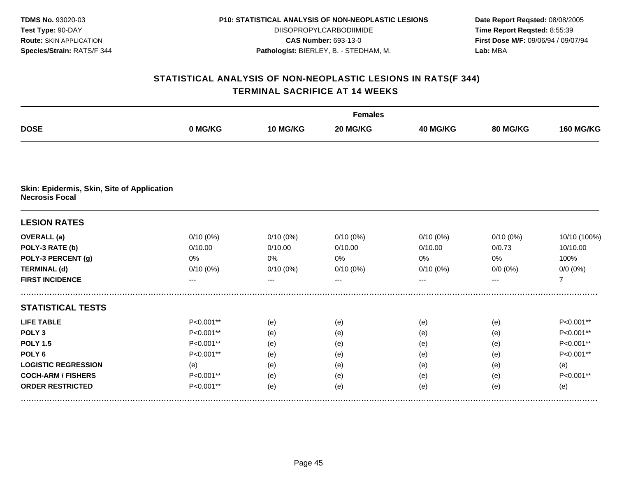| <b>TDMS No. 93020-03</b>       |
|--------------------------------|
| <b>Test Type: 90-DAY</b>       |
| <b>Route: SKIN APPLICATION</b> |
| Species/Strain: RATS/F 344     |

DIISOPROPYLCARBODIIMIDE **CAS Number:** 693-13-0 **Pathologist:** BIERLEY, B. - STEDHAM, M.

**Date Report Reqsted:** 08/08/2005 **Time Report Reqsted:** 8:55:39 **First Dose M/F:** 09/06/94 / 09/07/94 **Lab:** MBA

|                                                                     | <b>Females</b> |             |             |                 |                 |                  |  |
|---------------------------------------------------------------------|----------------|-------------|-------------|-----------------|-----------------|------------------|--|
| <b>DOSE</b>                                                         | 0 MG/KG        | 10 MG/KG    | 20 MG/KG    | <b>40 MG/KG</b> | <b>80 MG/KG</b> | <b>160 MG/KG</b> |  |
|                                                                     |                |             |             |                 |                 |                  |  |
| Skin: Epidermis, Skin, Site of Application<br><b>Necrosis Focal</b> |                |             |             |                 |                 |                  |  |
| <b>LESION RATES</b>                                                 |                |             |             |                 |                 |                  |  |
| <b>OVERALL</b> (a)                                                  | $0/10(0\%)$    | $0/10(0\%)$ | $0/10(0\%)$ | $0/10(0\%)$     | $0/10(0\%)$     | 10/10 (100%)     |  |
| POLY-3 RATE (b)                                                     | 0/10.00        | 0/10.00     | 0/10.00     | 0/10.00         | 0/0.73          | 10/10.00         |  |
| POLY-3 PERCENT (g)                                                  | 0%             | 0%          | 0%          | 0%              | 0%              | 100%             |  |
| <b>TERMINAL (d)</b>                                                 | 0/10(0%)       | 0/10(0%)    | $0/10(0\%)$ | 0/10(0%)        | $0/0 (0\%)$     | $0/0 (0\%)$      |  |
| <b>FIRST INCIDENCE</b>                                              | ---            | ---         |             | $---$           |                 | $\overline{7}$   |  |
| <b>STATISTICAL TESTS</b>                                            |                |             |             |                 |                 |                  |  |
| <b>LIFE TABLE</b>                                                   | P<0.001**      | (e)         | (e)         | (e)             | (e)             | P<0.001**        |  |
| POLY <sub>3</sub>                                                   | P<0.001**      | (e)         | (e)         | (e)             | (e)             | P<0.001**        |  |
| <b>POLY 1.5</b>                                                     | P<0.001**      | (e)         | (e)         | (e)             | (e)             | P<0.001**        |  |
| POLY <sub>6</sub>                                                   | P<0.001**      | (e)         | (e)         | (e)             | (e)             | P<0.001**        |  |
| <b>LOGISTIC REGRESSION</b>                                          | (e)            | (e)         | (e)         | (e)             | (e)             | (e)              |  |
| <b>COCH-ARM / FISHERS</b>                                           | P<0.001**      | (e)         | (e)         | (e)             | (e)             | P<0.001**        |  |
| <b>ORDER RESTRICTED</b>                                             | P<0.001**      | (e)         | (e)         | (e)             | (e)             | (e)              |  |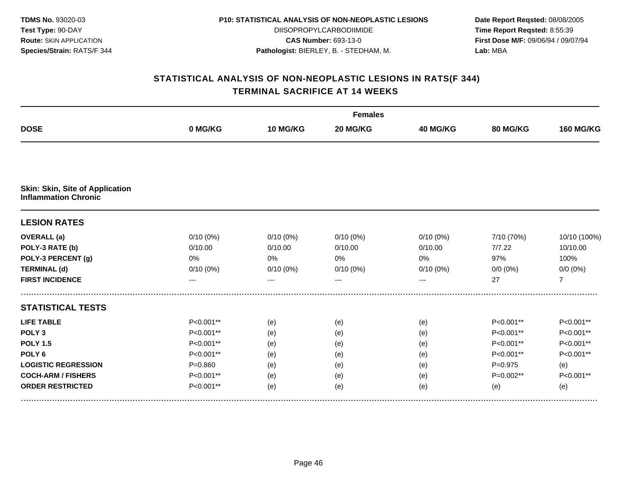| <b>TDMS No. 93020-03</b>       |
|--------------------------------|
| <b>Test Type: 90-DAY</b>       |
| <b>Route: SKIN APPLICATION</b> |
| Species/Strain: RATS/F 344     |

DIISOPROPYLCARBODIIMIDE **CAS Number:** 693-13-0 **Pathologist:** BIERLEY, B. - STEDHAM, M.

**Date Report Reqsted:** 08/08/2005 **Time Report Reqsted:** 8:55:39 **First Dose M/F:** 09/06/94 / 09/07/94 **Lab:** MBA

|                                                                       | <b>Females</b> |          |             |             |                 |                  |  |  |
|-----------------------------------------------------------------------|----------------|----------|-------------|-------------|-----------------|------------------|--|--|
| <b>DOSE</b>                                                           | 0 MG/KG        | 10 MG/KG | 20 MG/KG    | 40 MG/KG    | <b>80 MG/KG</b> | <b>160 MG/KG</b> |  |  |
|                                                                       |                |          |             |             |                 |                  |  |  |
| <b>Skin: Skin, Site of Application</b><br><b>Inflammation Chronic</b> |                |          |             |             |                 |                  |  |  |
| <b>LESION RATES</b>                                                   |                |          |             |             |                 |                  |  |  |
| <b>OVERALL</b> (a)                                                    | $0/10(0\%)$    | 0/10(0%) | $0/10(0\%)$ | $0/10(0\%)$ | 7/10 (70%)      | 10/10 (100%)     |  |  |
| POLY-3 RATE (b)                                                       | 0/10.00        | 0/10.00  | 0/10.00     | 0/10.00     | 7/7.22          | 10/10.00         |  |  |
| POLY-3 PERCENT (g)                                                    | 0%             | 0%       | 0%          | 0%          | 97%             | 100%             |  |  |
| <b>TERMINAL (d)</b>                                                   | 0/10(0%)       | 0/10(0%) | 0/10(0%)    | 0/10(0%)    | $0/0 (0\%)$     | $0/0 (0\%)$      |  |  |
| <b>FIRST INCIDENCE</b>                                                | ---            |          |             | ---         | 27              | $\overline{7}$   |  |  |
| <b>STATISTICAL TESTS</b>                                              |                |          |             |             |                 |                  |  |  |
| <b>LIFE TABLE</b>                                                     | $P<0.001**$    | (e)      | (e)         | (e)         | $P<0.001**$     | P<0.001**        |  |  |
| POLY <sub>3</sub>                                                     | P<0.001**      | (e)      | (e)         | (e)         | P<0.001**       | P<0.001**        |  |  |
| <b>POLY 1.5</b>                                                       | P<0.001**      | (e)      | (e)         | (e)         | P<0.001**       | P<0.001**        |  |  |
| POLY <sub>6</sub>                                                     | $P<0.001**$    | (e)      | (e)         | (e)         | P<0.001**       | P<0.001**        |  |  |
| <b>LOGISTIC REGRESSION</b>                                            | $P = 0.860$    | (e)      | (e)         | (e)         | $P=0.975$       | (e)              |  |  |
| <b>COCH-ARM / FISHERS</b>                                             | P<0.001**      | (e)      | (e)         | (e)         | P=0.002**       | P<0.001**        |  |  |
| <b>ORDER RESTRICTED</b>                                               | $P<0.001**$    | (e)      | (e)         | (e)         | (e)             | (e)              |  |  |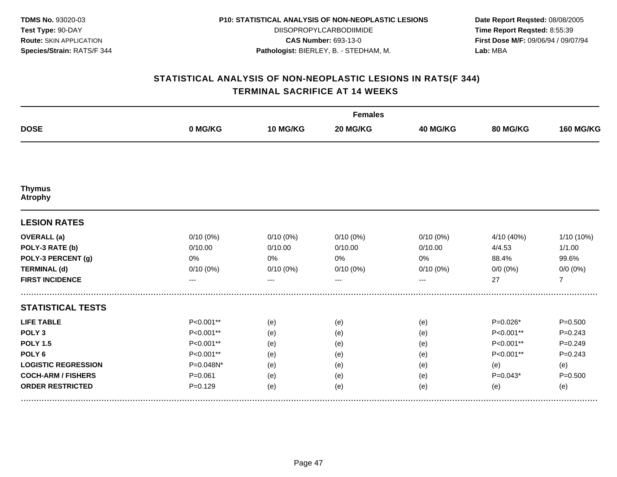| <b>TDMS No. 93020-03</b>       |
|--------------------------------|
| <b>Test Type: 90-DAY</b>       |
| <b>Route: SKIN APPLICATION</b> |
| Species/Strain: RATS/F 344     |

DIISOPROPYLCARBODIIMIDE **CAS Number:** 693-13-0 **Pathologist:** BIERLEY, B. - STEDHAM, M.

**Date Report Reqsted:** 08/08/2005 **Time Report Reqsted:** 8:55:39 **First Dose M/F:** 09/06/94 / 09/07/94 **Lab:** MBA

| <b>DOSE</b>                     | <b>Females</b> |             |             |          |             |                  |  |  |
|---------------------------------|----------------|-------------|-------------|----------|-------------|------------------|--|--|
|                                 | 0 MG/KG        | 10 MG/KG    | 20 MG/KG    | 40 MG/KG | 80 MG/KG    | <b>160 MG/KG</b> |  |  |
|                                 |                |             |             |          |             |                  |  |  |
| <b>Thymus</b><br><b>Atrophy</b> |                |             |             |          |             |                  |  |  |
| <b>LESION RATES</b>             |                |             |             |          |             |                  |  |  |
| <b>OVERALL</b> (a)              | $0/10(0\%)$    | $0/10(0\%)$ | $0/10(0\%)$ | 0/10(0%) | 4/10 (40%)  | 1/10 (10%)       |  |  |
| POLY-3 RATE (b)                 | 0/10.00        | 0/10.00     | 0/10.00     | 0/10.00  | 4/4.53      | 1/1.00           |  |  |
| POLY-3 PERCENT (g)              | 0%             | 0%          | 0%          | 0%       | 88.4%       | 99.6%            |  |  |
| <b>TERMINAL (d)</b>             | $0/10(0\%)$    | $0/10(0\%)$ | $0/10(0\%)$ | 0/10(0%) | $0/0 (0\%)$ | $0/0 (0\%)$      |  |  |
| <b>FIRST INCIDENCE</b>          | ---            | $---$       | $- - -$     | ---      | 27          | $\overline{7}$   |  |  |
| <b>STATISTICAL TESTS</b>        |                |             |             |          |             |                  |  |  |
| <b>LIFE TABLE</b>               | P<0.001**      | (e)         | (e)         | (e)      | $P=0.026*$  | $P = 0.500$      |  |  |
| POLY <sub>3</sub>               | P<0.001**      | (e)         | (e)         | (e)      | P<0.001**   | $P = 0.243$      |  |  |
| <b>POLY 1.5</b>                 | P<0.001**      | (e)         | (e)         | (e)      | P<0.001**   | $P=0.249$        |  |  |
| POLY <sub>6</sub>               | P<0.001**      | (e)         | (e)         | (e)      | P<0.001**   | $P = 0.243$      |  |  |
| <b>LOGISTIC REGRESSION</b>      | P=0.048N*      | (e)         | (e)         | (e)      | (e)         | (e)              |  |  |
| <b>COCH-ARM / FISHERS</b>       | $P = 0.061$    | (e)         | (e)         | (e)      | $P=0.043*$  | $P = 0.500$      |  |  |
| <b>ORDER RESTRICTED</b>         | $P = 0.129$    | (e)         | (e)         | (e)      | (e)         | (e)              |  |  |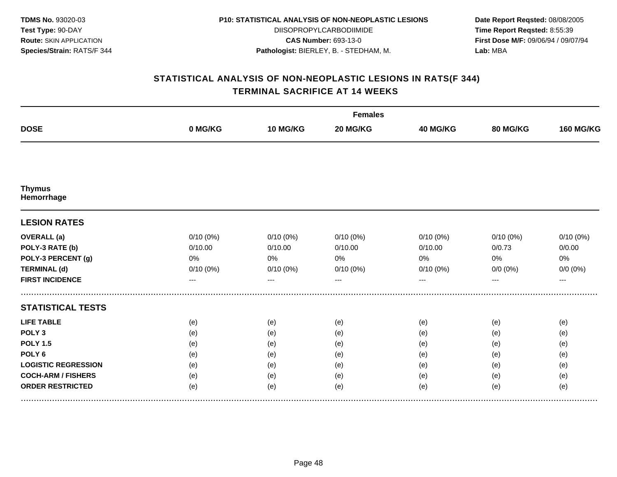| <b>TDMS No. 93020-03</b>       |
|--------------------------------|
| <b>Test Type: 90-DAY</b>       |
| <b>Route: SKIN APPLICATION</b> |
| Species/Strain: RATS/F 344     |

DIISOPROPYLCARBODIIMIDE **CAS Number:** 693-13-0 **Pathologist:** BIERLEY, B. - STEDHAM, M.

**Date Report Reqsted:** 08/08/2005 **Time Report Reqsted:** 8:55:39 **First Dose M/F:** 09/06/94 / 09/07/94 **Lab:** MBA

| <b>DOSE</b>                 | <b>Females</b>    |             |          |             |             |                  |  |  |
|-----------------------------|-------------------|-------------|----------|-------------|-------------|------------------|--|--|
|                             | 0 MG/KG           | 10 MG/KG    | 20 MG/KG | 40 MG/KG    | 80 MG/KG    | <b>160 MG/KG</b> |  |  |
|                             |                   |             |          |             |             |                  |  |  |
| <b>Thymus</b><br>Hemorrhage |                   |             |          |             |             |                  |  |  |
| <b>LESION RATES</b>         |                   |             |          |             |             |                  |  |  |
| <b>OVERALL</b> (a)          | 0/10(0%)          | $0/10(0\%)$ | 0/10(0%) | $0/10(0\%)$ | $0/10(0\%)$ | 0/10(0%)         |  |  |
| POLY-3 RATE (b)             | 0/10.00           | 0/10.00     | 0/10.00  | 0/10.00     | 0/0.73      | 0/0.00           |  |  |
| POLY-3 PERCENT (g)          | 0%                | 0%          | 0%       | 0%          | 0%          | 0%               |  |  |
| <b>TERMINAL (d)</b>         | 0/10(0%)          | $0/10(0\%)$ | 0/10(0%) | $0/10(0\%)$ | $0/0 (0\%)$ | $0/0 (0\%)$      |  |  |
| <b>FIRST INCIDENCE</b>      | $\qquad \qquad -$ | $---$       | $---$    | ---         |             | $---$            |  |  |
| <b>STATISTICAL TESTS</b>    |                   |             |          |             |             |                  |  |  |
| <b>LIFE TABLE</b>           | (e)               | (e)         | (e)      | (e)         | (e)         | (e)              |  |  |
| POLY <sub>3</sub>           | (e)               | (e)         | (e)      | (e)         | (e)         | (e)              |  |  |
| <b>POLY 1.5</b>             | (e)               | (e)         | (e)      | (e)         | (e)         | (e)              |  |  |
| POLY <sub>6</sub>           | (e)               | (e)         | (e)      | (e)         | (e)         | (e)              |  |  |
| <b>LOGISTIC REGRESSION</b>  | (e)               | (e)         | (e)      | (e)         | (e)         | (e)              |  |  |
| <b>COCH-ARM / FISHERS</b>   | (e)               | (e)         | (e)      | (e)         | (e)         | (e)              |  |  |
| <b>ORDER RESTRICTED</b>     | (e)               | (e)         | (e)      | (e)         | (e)         | (e)              |  |  |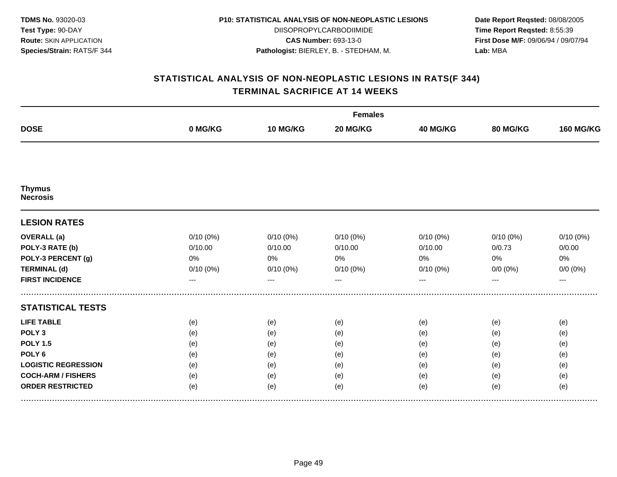| <b>TDMS No. 93020-03</b>       |
|--------------------------------|
| <b>Test Type: 90-DAY</b>       |
| <b>Route: SKIN APPLICATION</b> |
| Species/Strain: RATS/F 344     |

DIISOPROPYLCARBODIIMIDE **CAS Number:** 693-13-0 **Pathologist:** BIERLEY, B. - STEDHAM, M.

**Date Report Reqsted:** 08/08/2005 **Time Report Reqsted:** 8:55:39 **First Dose M/F:** 09/06/94 / 09/07/94 **Lab:** MBA

| <b>DOSE</b>                      | <b>Females</b> |             |             |          |             |                  |  |  |
|----------------------------------|----------------|-------------|-------------|----------|-------------|------------------|--|--|
|                                  | 0 MG/KG        | 10 MG/KG    | 20 MG/KG    | 40 MG/KG | 80 MG/KG    | <b>160 MG/KG</b> |  |  |
|                                  |                |             |             |          |             |                  |  |  |
| <b>Thymus</b><br><b>Necrosis</b> |                |             |             |          |             |                  |  |  |
| <b>LESION RATES</b>              |                |             |             |          |             |                  |  |  |
| <b>OVERALL</b> (a)               | $0/10(0\%)$    | $0/10(0\%)$ | $0/10(0\%)$ | 0/10(0%) | $0/10(0\%)$ | 0/10(0%)         |  |  |
| POLY-3 RATE (b)                  | 0/10.00        | 0/10.00     | 0/10.00     | 0/10.00  | 0/0.73      | 0/0.00           |  |  |
| POLY-3 PERCENT (g)               | 0%             | 0%          | 0%          | 0%       | 0%          | 0%               |  |  |
| <b>TERMINAL (d)</b>              | $0/10(0\%)$    | $0/10(0\%)$ | $0/10(0\%)$ | 0/10(0%) | $0/0 (0\%)$ | $0/0 (0\%)$      |  |  |
| <b>FIRST INCIDENCE</b>           | ---            | $---$       | $---$       | $---$    | ---         | $---$            |  |  |
| <b>STATISTICAL TESTS</b>         |                |             |             |          |             |                  |  |  |
| <b>LIFE TABLE</b>                | (e)            | (e)         | (e)         | (e)      | (e)         | (e)              |  |  |
| POLY <sub>3</sub>                | (e)            | (e)         | (e)         | (e)      | (e)         | (e)              |  |  |
| <b>POLY 1.5</b>                  | (e)            | (e)         | (e)         | (e)      | (e)         | (e)              |  |  |
| POLY <sub>6</sub>                | (e)            | (e)         | (e)         | (e)      | (e)         | (e)              |  |  |
| <b>LOGISTIC REGRESSION</b>       | (e)            | (e)         | (e)         | (e)      | (e)         | (e)              |  |  |
| <b>COCH-ARM / FISHERS</b>        | (e)            | (e)         | (e)         | (e)      | (e)         | (e)              |  |  |
| <b>ORDER RESTRICTED</b>          | (e)            | (e)         | (e)         | (e)      | (e)         | (e)              |  |  |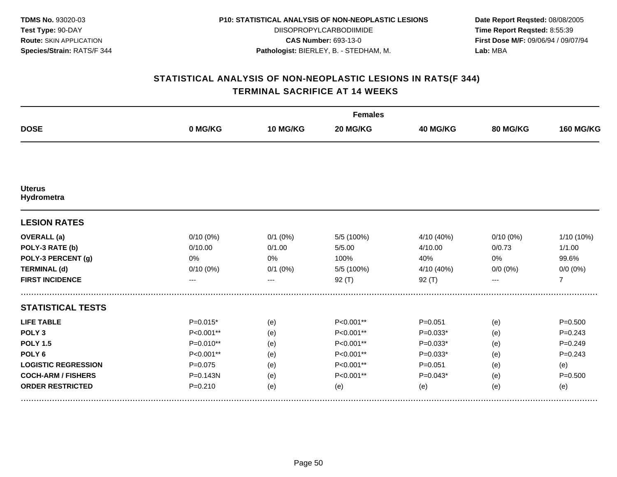| <b>TDMS No. 93020-03</b>       |
|--------------------------------|
| Test Type: 90-DAY              |
| <b>Route: SKIN APPLICATION</b> |
| Species/Strain: RATS/F 344     |

DIISOPROPYLCARBODIIMIDE **CAS Number:** 693-13-0 **Pathologist:** BIERLEY, B. - STEDHAM, M.

**Date Report Reqsted:** 08/08/2005 **Time Report Reqsted:** 8:55:39 **First Dose M/F:** 09/06/94 / 09/07/94 **Lab:** MBA

| <b>DOSE</b>                 | <b>Females</b> |              |            |                 |                 |                  |  |  |
|-----------------------------|----------------|--------------|------------|-----------------|-----------------|------------------|--|--|
|                             | 0 MG/KG        | 10 MG/KG     | 20 MG/KG   | <b>40 MG/KG</b> | <b>80 MG/KG</b> | <b>160 MG/KG</b> |  |  |
|                             |                |              |            |                 |                 |                  |  |  |
| <b>Uterus</b><br>Hydrometra |                |              |            |                 |                 |                  |  |  |
| <b>LESION RATES</b>         |                |              |            |                 |                 |                  |  |  |
| <b>OVERALL</b> (a)          | $0/10(0\%)$    | $0/1$ (0%)   | 5/5 (100%) | 4/10 (40%)      | $0/10(0\%)$     | 1/10 (10%)       |  |  |
| POLY-3 RATE (b)             | 0/10.00        | 0/1.00       | 5/5.00     | 4/10.00         | 0/0.73          | 1/1.00           |  |  |
| POLY-3 PERCENT (g)          | 0%             | 0%           | 100%       | 40%             | 0%              | 99.6%            |  |  |
| <b>TERMINAL (d)</b>         | 0/10(0%)       | $0/1$ $(0%)$ | 5/5 (100%) | 4/10 (40%)      | $0/0 (0\%)$     | $0/0 (0\%)$      |  |  |
| <b>FIRST INCIDENCE</b>      | ---            | ---          | $92($ T)   | 92(T)           | ---             | $\overline{7}$   |  |  |
| <b>STATISTICAL TESTS</b>    |                |              |            |                 |                 |                  |  |  |
| <b>LIFE TABLE</b>           | $P=0.015*$     | (e)          | P<0.001**  | $P = 0.051$     | (e)             | $P = 0.500$      |  |  |
| POLY <sub>3</sub>           | P<0.001**      | (e)          | P<0.001**  | $P=0.033*$      | (e)             | $P = 0.243$      |  |  |
| <b>POLY 1.5</b>             | $P=0.010**$    | (e)          | P<0.001**  | $P=0.033*$      | (e)             | $P=0.249$        |  |  |
| POLY <sub>6</sub>           | P<0.001**      | (e)          | P<0.001**  | $P=0.033*$      | (e)             | $P = 0.243$      |  |  |
| <b>LOGISTIC REGRESSION</b>  | $P = 0.075$    | (e)          | P<0.001**  | $P = 0.051$     | (e)             | (e)              |  |  |
| <b>COCH-ARM / FISHERS</b>   | $P = 0.143N$   | (e)          | P<0.001**  | $P=0.043*$      | (e)             | $P = 0.500$      |  |  |
| <b>ORDER RESTRICTED</b>     | $P = 0.210$    | (e)          | (e)        | (e)             | (e)             | (e)              |  |  |